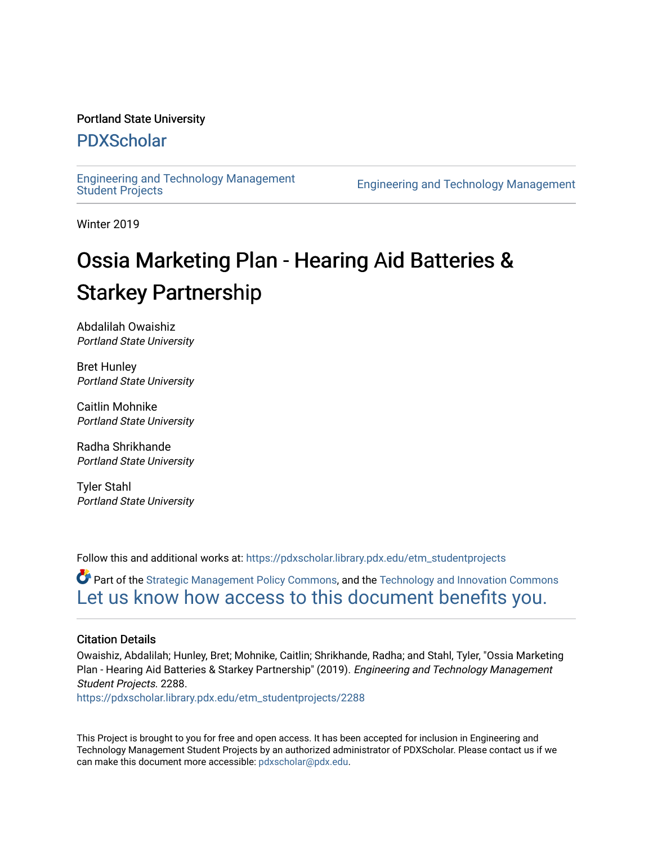#### Portland State University

#### [PDXScholar](https://pdxscholar.library.pdx.edu/)

[Engineering and Technology Management](https://pdxscholar.library.pdx.edu/etm_studentprojects) 

Engineering and Technology Management

Winter 2019

## Ossia Marketing Plan - Hearing Aid Batteries & Starkey Partnership

Abdalilah Owaishiz Portland State University

Bret Hunley Portland State University

Caitlin Mohnike Portland State University

Radha Shrikhande Portland State University

Tyler Stahl Portland State University

Follow this and additional works at: [https://pdxscholar.library.pdx.edu/etm\\_studentprojects](https://pdxscholar.library.pdx.edu/etm_studentprojects?utm_source=pdxscholar.library.pdx.edu%2Fetm_studentprojects%2F2288&utm_medium=PDF&utm_campaign=PDFCoverPages) 

Part of the [Strategic Management Policy Commons](http://network.bepress.com/hgg/discipline/642?utm_source=pdxscholar.library.pdx.edu%2Fetm_studentprojects%2F2288&utm_medium=PDF&utm_campaign=PDFCoverPages), and the [Technology and Innovation Commons](http://network.bepress.com/hgg/discipline/644?utm_source=pdxscholar.library.pdx.edu%2Fetm_studentprojects%2F2288&utm_medium=PDF&utm_campaign=PDFCoverPages)  [Let us know how access to this document benefits you.](http://library.pdx.edu/services/pdxscholar-services/pdxscholar-feedback/?ref=https://pdxscholar.library.pdx.edu/etm_studentprojects/2288) 

#### Citation Details

Owaishiz, Abdalilah; Hunley, Bret; Mohnike, Caitlin; Shrikhande, Radha; and Stahl, Tyler, "Ossia Marketing Plan - Hearing Aid Batteries & Starkey Partnership" (2019). Engineering and Technology Management Student Projects. 2288.

[https://pdxscholar.library.pdx.edu/etm\\_studentprojects/2288](https://pdxscholar.library.pdx.edu/etm_studentprojects/2288?utm_source=pdxscholar.library.pdx.edu%2Fetm_studentprojects%2F2288&utm_medium=PDF&utm_campaign=PDFCoverPages)

This Project is brought to you for free and open access. It has been accepted for inclusion in Engineering and Technology Management Student Projects by an authorized administrator of PDXScholar. Please contact us if we can make this document more accessible: [pdxscholar@pdx.edu.](mailto:pdxscholar@pdx.edu)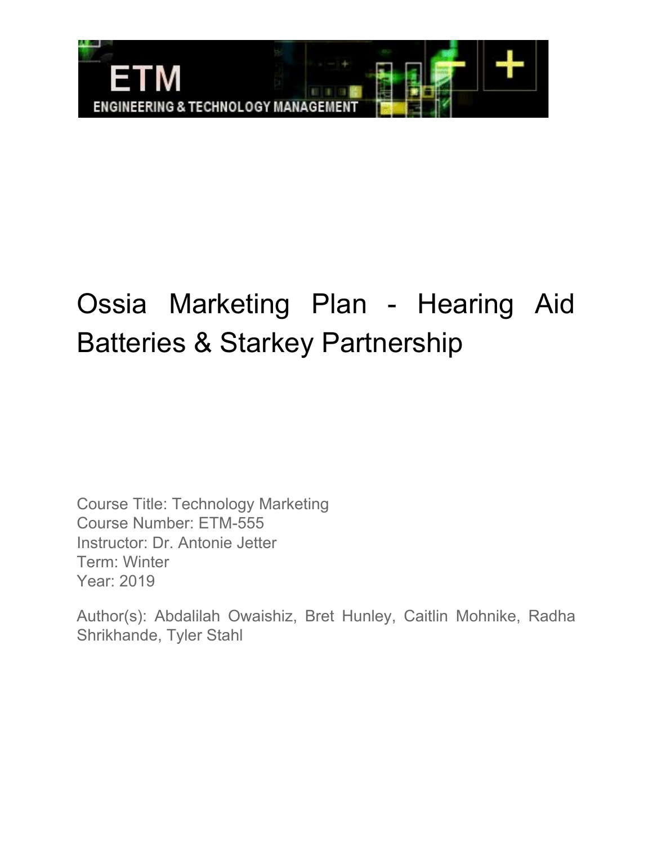

# Ossia Marketing Plan - Hearing Aid Batteries & Starkey Partnership

Course Title: Technology Marketing Course Number: ETM-555 Instructor: Dr. Antonie Jetter Term: Winter Year: 2019

Author(s): Abdalilah Owaishiz, Bret Hunley, Caitlin Mohnike, Radha Shrikhande, Tyler Stahl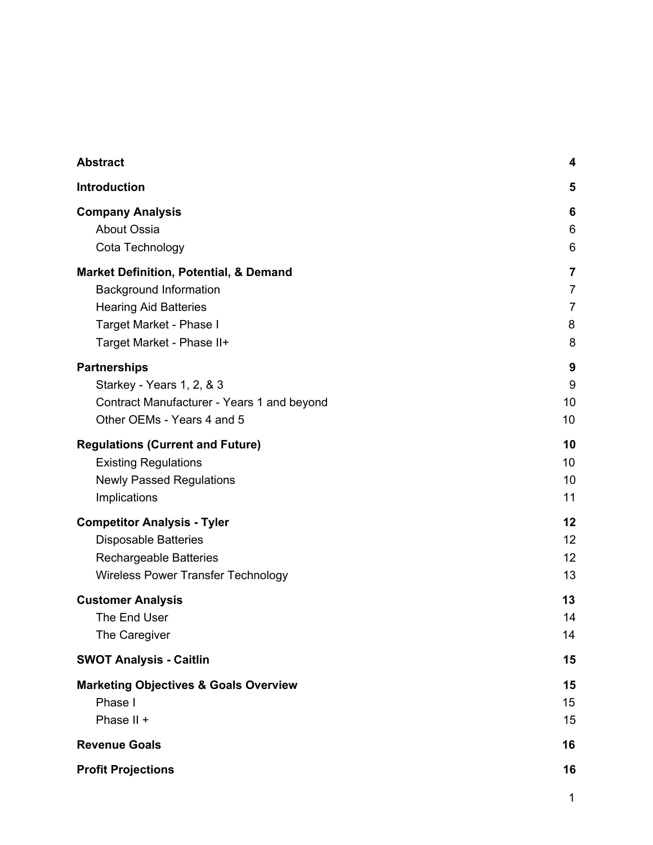| <b>Abstract</b>                                   | 4              |
|---------------------------------------------------|----------------|
| <b>Introduction</b>                               | 5              |
| <b>Company Analysis</b>                           | 6              |
| <b>About Ossia</b>                                | 6              |
| Cota Technology                                   | 6              |
| <b>Market Definition, Potential, &amp; Demand</b> | $\overline{7}$ |
| <b>Background Information</b>                     | $\overline{7}$ |
| <b>Hearing Aid Batteries</b>                      | $\overline{7}$ |
| Target Market - Phase I                           | 8              |
| Target Market - Phase II+                         | 8              |
| <b>Partnerships</b>                               | 9              |
| Starkey - Years 1, 2, & 3                         | 9              |
| Contract Manufacturer - Years 1 and beyond        | 10             |
| Other OEMs - Years 4 and 5                        | 10             |
| <b>Regulations (Current and Future)</b>           | 10             |
| <b>Existing Regulations</b>                       | 10             |
| <b>Newly Passed Regulations</b>                   | 10             |
| Implications                                      | 11             |
| <b>Competitor Analysis - Tyler</b>                | 12             |
| <b>Disposable Batteries</b>                       | 12             |
| <b>Rechargeable Batteries</b>                     | 12             |
| <b>Wireless Power Transfer Technology</b>         | 13             |
| <b>Customer Analysis</b>                          | 13             |
| The End User                                      | 14             |
| The Caregiver                                     | 14             |
| <b>SWOT Analysis - Caitlin</b>                    | 15             |
| <b>Marketing Objectives &amp; Goals Overview</b>  | 15             |
| Phase I                                           | 15             |
| Phase II +                                        | 15             |
| <b>Revenue Goals</b>                              | 16             |
| <b>Profit Projections</b>                         | 16             |

1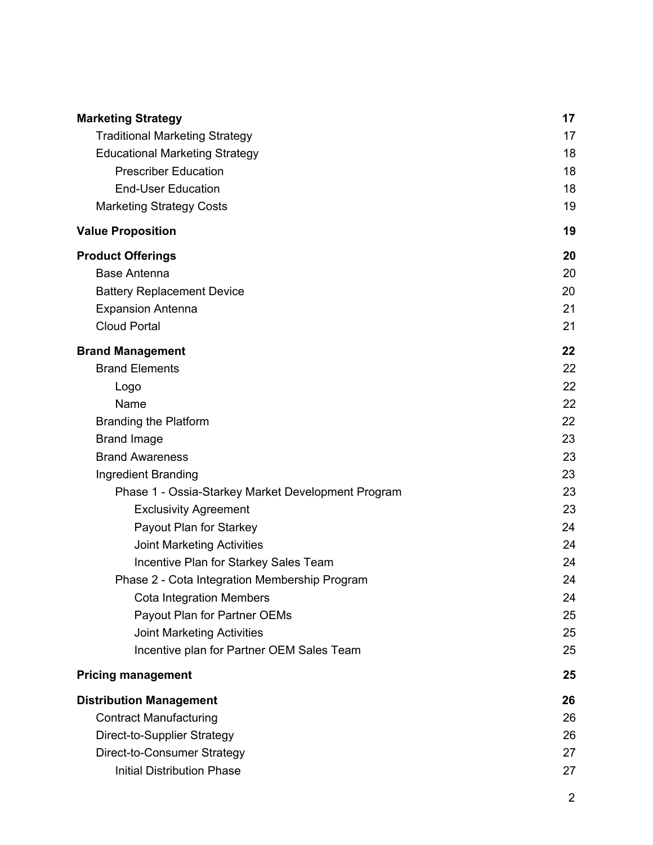| <b>Marketing Strategy</b>                          | 17 |
|----------------------------------------------------|----|
| <b>Traditional Marketing Strategy</b>              | 17 |
| <b>Educational Marketing Strategy</b>              | 18 |
| <b>Prescriber Education</b>                        | 18 |
| <b>End-User Education</b>                          | 18 |
| <b>Marketing Strategy Costs</b>                    | 19 |
| <b>Value Proposition</b>                           | 19 |
| <b>Product Offerings</b>                           | 20 |
| <b>Base Antenna</b>                                | 20 |
| <b>Battery Replacement Device</b>                  | 20 |
| <b>Expansion Antenna</b>                           | 21 |
| <b>Cloud Portal</b>                                | 21 |
| <b>Brand Management</b>                            | 22 |
| <b>Brand Elements</b>                              | 22 |
| Logo                                               | 22 |
| Name                                               | 22 |
| <b>Branding the Platform</b>                       | 22 |
| <b>Brand Image</b>                                 | 23 |
| <b>Brand Awareness</b>                             | 23 |
| Ingredient Branding                                | 23 |
| Phase 1 - Ossia-Starkey Market Development Program | 23 |
| <b>Exclusivity Agreement</b>                       | 23 |
| Payout Plan for Starkey                            | 24 |
| <b>Joint Marketing Activities</b>                  | 24 |
| Incentive Plan for Starkey Sales Team              | 24 |
| Phase 2 - Cota Integration Membership Program      | 24 |
| <b>Cota Integration Members</b>                    | 24 |
| Payout Plan for Partner OEMs                       | 25 |
| <b>Joint Marketing Activities</b>                  | 25 |
| Incentive plan for Partner OEM Sales Team          | 25 |
| <b>Pricing management</b>                          | 25 |
| <b>Distribution Management</b>                     | 26 |
| <b>Contract Manufacturing</b>                      | 26 |
| Direct-to-Supplier Strategy                        | 26 |
| Direct-to-Consumer Strategy                        | 27 |
| <b>Initial Distribution Phase</b>                  | 27 |

2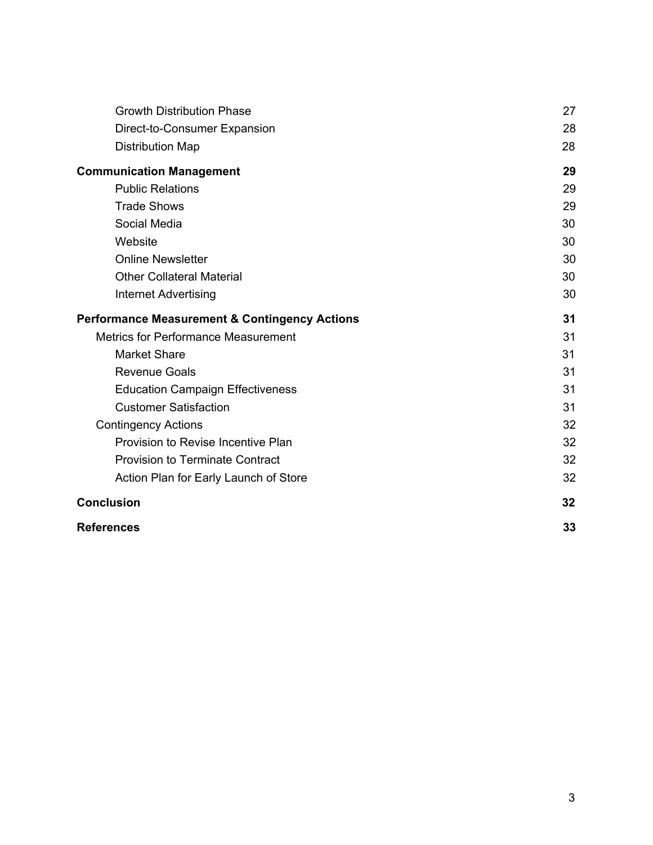| <b>Growth Distribution Phase</b>                         | 27 |
|----------------------------------------------------------|----|
| Direct-to-Consumer Expansion                             | 28 |
| <b>Distribution Map</b>                                  | 28 |
| <b>Communication Management</b>                          | 29 |
| <b>Public Relations</b>                                  | 29 |
| <b>Trade Shows</b>                                       | 29 |
| Social Media                                             | 30 |
| Website                                                  | 30 |
| <b>Online Newsletter</b>                                 | 30 |
| <b>Other Collateral Material</b>                         | 30 |
| <b>Internet Advertising</b>                              | 30 |
| <b>Performance Measurement &amp; Contingency Actions</b> | 31 |
| <b>Metrics for Performance Measurement</b>               | 31 |
| <b>Market Share</b>                                      | 31 |
| <b>Revenue Goals</b>                                     | 31 |
| <b>Education Campaign Effectiveness</b>                  | 31 |
| <b>Customer Satisfaction</b>                             | 31 |
| <b>Contingency Actions</b>                               | 32 |
| Provision to Revise Incentive Plan                       | 32 |
| <b>Provision to Terminate Contract</b>                   | 32 |
| Action Plan for Early Launch of Store                    | 32 |
| <b>Conclusion</b>                                        | 32 |
| <b>References</b>                                        | 33 |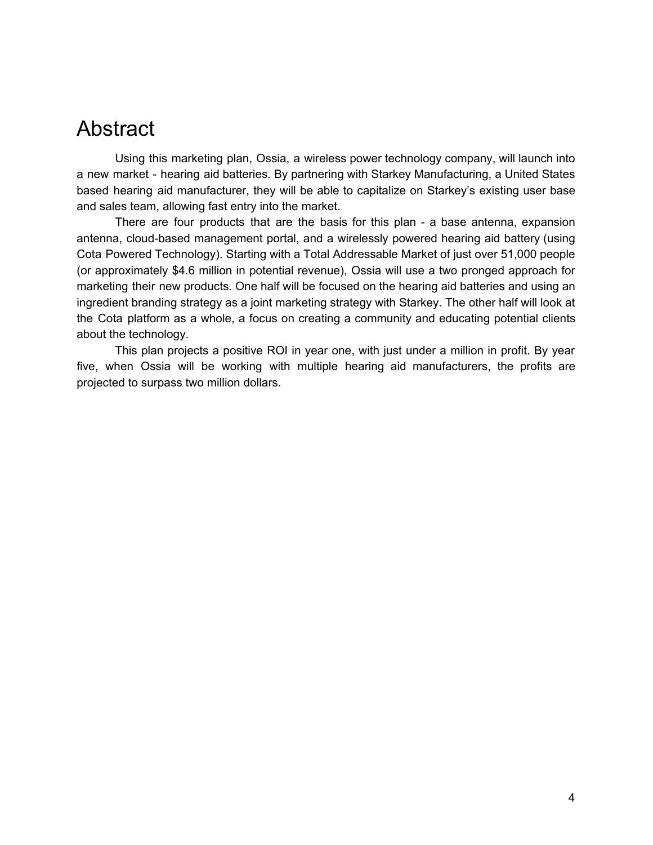## Abstract

Using this marketing plan, Ossia, a wireless power technology company, will launch into a new market - hearing aid batteries. By partnering with Starkey Manufacturing, a United States based hearing aid manufacturer, they will be able to capitalize on Starkey's existing user base and sales team, allowing fast entry into the market.

There are four products that are the basis for this plan - a base antenna, expansion antenna, cloud-based management portal, and a wirelessly powered hearing aid battery (using Cota Powered Technology). Starting with a Total Addressable Market of just over 51,000 people (or approximately \$4.6 million in potential revenue), Ossia will use a two pronged approach for marketing their new products. One half will be focused on the hearing aid batteries and using an ingredient branding strategy as a joint marketing strategy with Starkey. The other half will look at the Cota platform as a whole, a focus on creating a community and educating potential clients about the technology.

This plan projects a positive ROI in year one, with just under a million in profit. By year five, when Ossia will be working with multiple hearing aid manufacturers, the profits are projected to surpass two million dollars.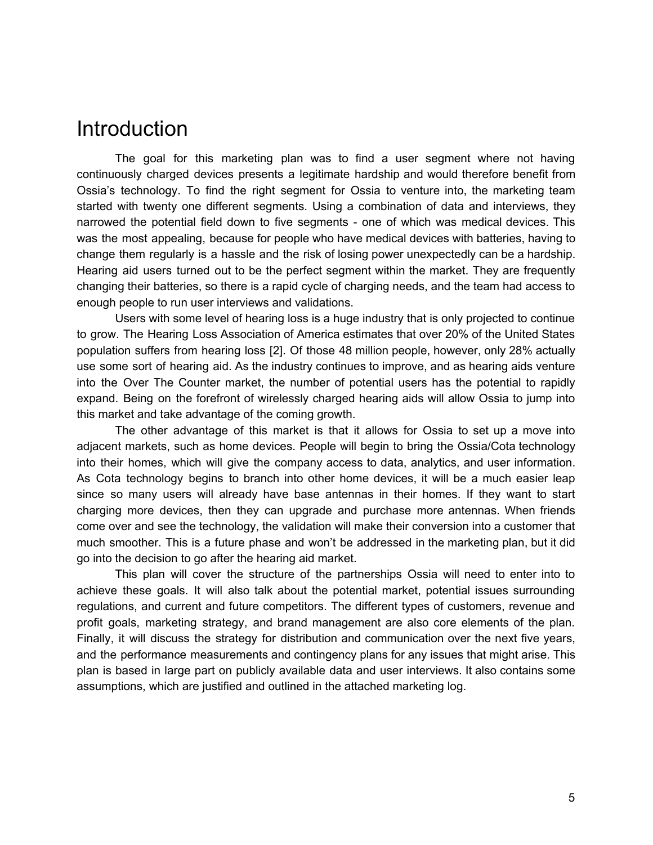## **Introduction**

The goal for this marketing plan was to find a user segment where not having continuously charged devices presents a legitimate hardship and would therefore benefit from Ossia's technology. To find the right segment for Ossia to venture into, the marketing team started with twenty one different segments. Using a combination of data and interviews, they narrowed the potential field down to five segments - one of which was medical devices. This was the most appealing, because for people who have medical devices with batteries, having to change them regularly is a hassle and the risk of losing power unexpectedly can be a hardship. Hearing aid users turned out to be the perfect segment within the market. They are frequently changing their batteries, so there is a rapid cycle of charging needs, and the team had access to enough people to run user interviews and validations.

Users with some level of hearing loss is a huge industry that is only projected to continue to grow. The Hearing Loss Association of America estimates that over 20% of the United States population suffers from hearing loss [2]. Of those 48 million people, however, only 28% actually use some sort of hearing aid. As the industry continues to improve, and as hearing aids venture into the Over The Counter market, the number of potential users has the potential to rapidly expand. Being on the forefront of wirelessly charged hearing aids will allow Ossia to jump into this market and take advantage of the coming growth.

The other advantage of this market is that it allows for Ossia to set up a move into adjacent markets, such as home devices. People will begin to bring the Ossia/Cota technology into their homes, which will give the company access to data, analytics, and user information. As Cota technology begins to branch into other home devices, it will be a much easier leap since so many users will already have base antennas in their homes. If they want to start charging more devices, then they can upgrade and purchase more antennas. When friends come over and see the technology, the validation will make their conversion into a customer that much smoother. This is a future phase and won't be addressed in the marketing plan, but it did go into the decision to go after the hearing aid market.

This plan will cover the structure of the partnerships Ossia will need to enter into to achieve these goals. It will also talk about the potential market, potential issues surrounding regulations, and current and future competitors. The different types of customers, revenue and profit goals, marketing strategy, and brand management are also core elements of the plan. Finally, it will discuss the strategy for distribution and communication over the next five years, and the performance measurements and contingency plans for any issues that might arise. This plan is based in large part on publicly available data and user interviews. It also contains some assumptions, which are justified and outlined in the attached marketing log.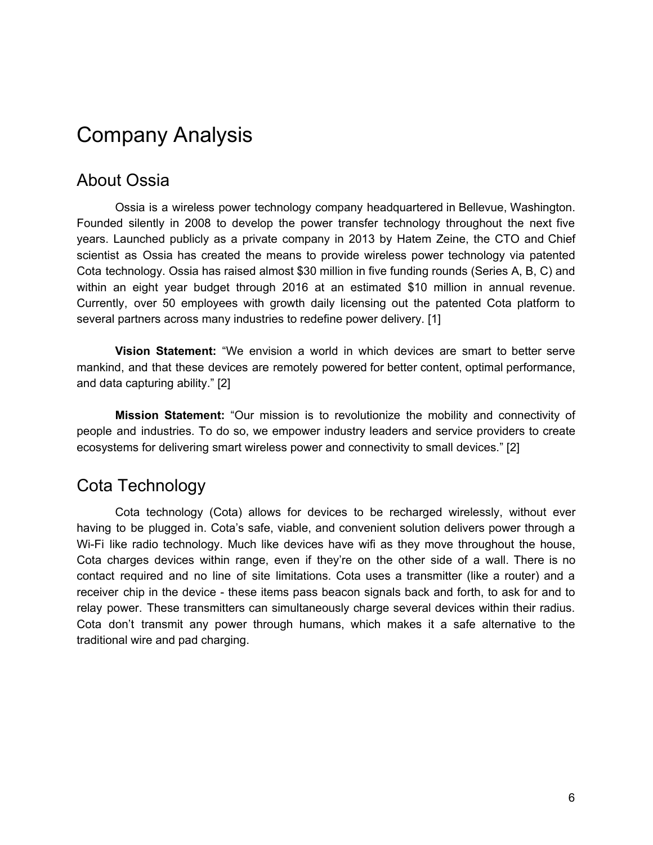## Company Analysis

### About Ossia

Ossia is a wireless power technology company headquartered in Bellevue, Washington. Founded silently in 2008 to develop the power transfer technology throughout the next five years. Launched publicly as a private company in 2013 by Hatem Zeine, the CTO and Chief scientist as Ossia has created the means to provide wireless power technology via patented Cota technology. Ossia has raised almost \$30 million in five funding rounds (Series A, B, C) and within an eight year budget through 2016 at an estimated \$10 million in annual revenue. Currently, over 50 employees with growth daily licensing out the patented Cota platform to several partners across many industries to redefine power delivery. [1]

**Vision Statement:** "We envision a world in which devices are smart to better serve mankind, and that these devices are remotely powered for better content, optimal performance, and data capturing ability." [2]

**Mission Statement:** "Our mission is to revolutionize the mobility and connectivity of people and industries. To do so, we empower industry leaders and service providers to create ecosystems for delivering smart wireless power and connectivity to small devices." [2]

### Cota Technology

Cota technology (Cota) allows for devices to be recharged wirelessly, without ever having to be plugged in. Cota's safe, viable, and convenient solution delivers power through a Wi-Fi like radio technology. Much like devices have wifi as they move throughout the house, Cota charges devices within range, even if they're on the other side of a wall. There is no contact required and no line of site limitations. Cota uses a transmitter (like a router) and a receiver chip in the device - these items pass beacon signals back and forth, to ask for and to relay power. These transmitters can simultaneously charge several devices within their radius. Cota don't transmit any power through humans, which makes it a safe alternative to the traditional wire and pad charging.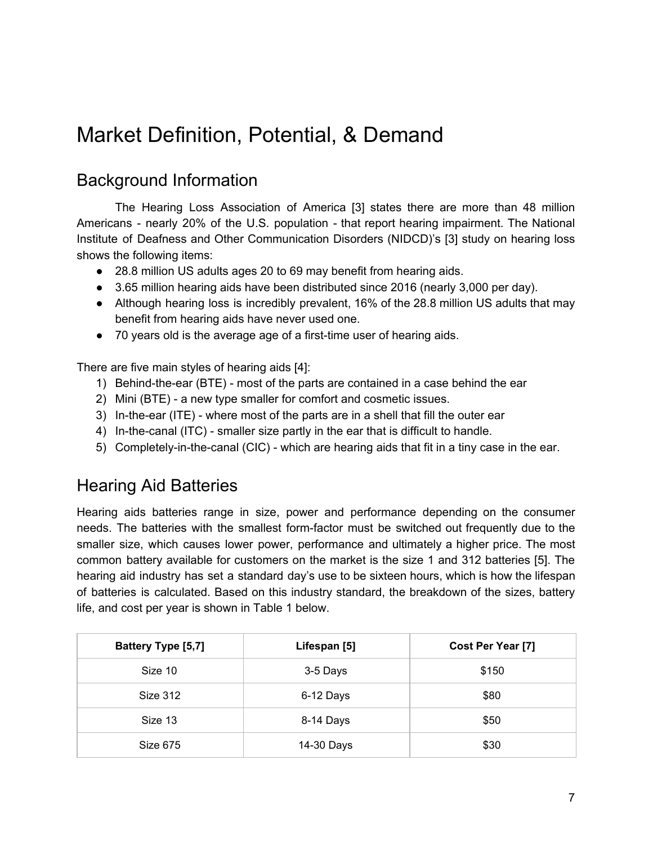## Market Definition, Potential, & Demand

## Background Information

The Hearing Loss Association of America [3] states there are more than 48 million Americans - nearly 20% of the U.S. population - that report hearing impairment. The National Institute of Deafness and Other Communication Disorders (NIDCD)'s [3] study on hearing loss shows the following items:

- 28.8 million US adults ages 20 to 69 may benefit from hearing aids.
- 3.65 million hearing aids have been distributed since 2016 (nearly 3,000 per day).
- Although hearing loss is incredibly prevalent, 16% of the 28.8 million US adults that may benefit from hearing aids have never used one.
- 70 years old is the average age of a first-time user of hearing aids.

There are five main styles of hearing aids [4]:

- 1) Behind-the-ear (BTE) most of the parts are contained in a case behind the ear
- 2) Mini (BTE) a new type smaller for comfort and cosmetic issues.
- 3) In-the-ear (ITE) where most of the parts are in a shell that fill the outer ear
- 4) In-the-canal (ITC) smaller size partly in the ear that is difficult to handle.
- 5) Completely-in-the-canal (CIC) which are hearing aids that fit in a tiny case in the ear.

## Hearing Aid Batteries

Hearing aids batteries range in size, power and performance depending on the consumer needs. The batteries with the smallest form-factor must be switched out frequently due to the smaller size, which causes lower power, performance and ultimately a higher price. The most common battery available for customers on the market is the size 1 and 312 batteries [5]. The hearing aid industry has set a standard day's use to be sixteen hours, which is how the lifespan of batteries is calculated. Based on this industry standard, the breakdown of the sizes, battery life, and cost per year is shown in Table 1 below.

| <b>Battery Type [5,7]</b> | Lifespan [5] | Cost Per Year [7] |
|---------------------------|--------------|-------------------|
| Size 10                   | 3-5 Days     | \$150             |
| Size 312                  | 6-12 Days    | \$80              |
| Size 13                   | 8-14 Days    | \$50              |
| <b>Size 675</b>           | 14-30 Days   | \$30              |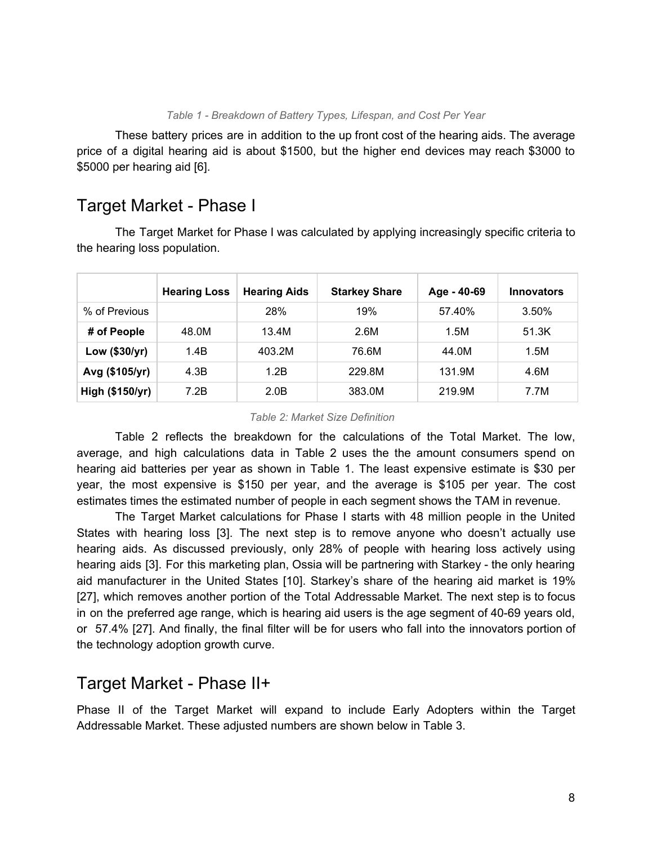#### *Table 1 - Breakdown of Battery Types, Lifespan, and Cost Per Year*

These battery prices are in addition to the up front cost of the hearing aids. The average price of a digital hearing aid is about \$1500, but the higher end devices may reach \$3000 to \$5000 per hearing aid [6].

### Target Market - Phase I

The Target Market for Phase I was calculated by applying increasingly specific criteria to the hearing loss population.

|                 | <b>Hearing Loss</b> | <b>Hearing Aids</b> | <b>Starkey Share</b> | Age - 40-69 | <b>Innovators</b> |
|-----------------|---------------------|---------------------|----------------------|-------------|-------------------|
| % of Previous   |                     | 28%                 | 19%                  | 57.40%      | 3.50%             |
| # of People     | 48.0M               | 13.4M               | 2.6M                 | 1.5M        | 51.3K             |
| Low (\$30/yr)   | 1.4B                | 403.2M              | 76.6M                | 44.0M       | 1.5M              |
| Avg (\$105/yr)  | 4.3B                | 1.2B                | 229.8M               | 131.9M      | 4.6M              |
| High (\$150/yr) | 7.2B                | 2.0B                | 383.0M               | 219.9M      | 7.7M              |

#### *Table 2: Market Size Definition*

Table 2 reflects the breakdown for the calculations of the Total Market. The low, average, and high calculations data in Table 2 uses the the amount consumers spend on hearing aid batteries per year as shown in Table 1. The least expensive estimate is \$30 per year, the most expensive is \$150 per year, and the average is \$105 per year. The cost estimates times the estimated number of people in each segment shows the TAM in revenue.

The Target Market calculations for Phase I starts with 48 million people in the United States with hearing loss [3]. The next step is to remove anyone who doesn't actually use hearing aids. As discussed previously, only 28% of people with hearing loss actively using hearing aids [3]. For this marketing plan, Ossia will be partnering with Starkey - the only hearing aid manufacturer in the United States [10]. Starkey's share of the hearing aid market is 19% [27], which removes another portion of the Total Addressable Market. The next step is to focus in on the preferred age range, which is hearing aid users is the age segment of 40-69 years old, or 57.4% [27]. And finally, the final filter will be for users who fall into the innovators portion of the technology adoption growth curve.

### Target Market - Phase II+

Phase II of the Target Market will expand to include Early Adopters within the Target Addressable Market. These adjusted numbers are shown below in Table 3.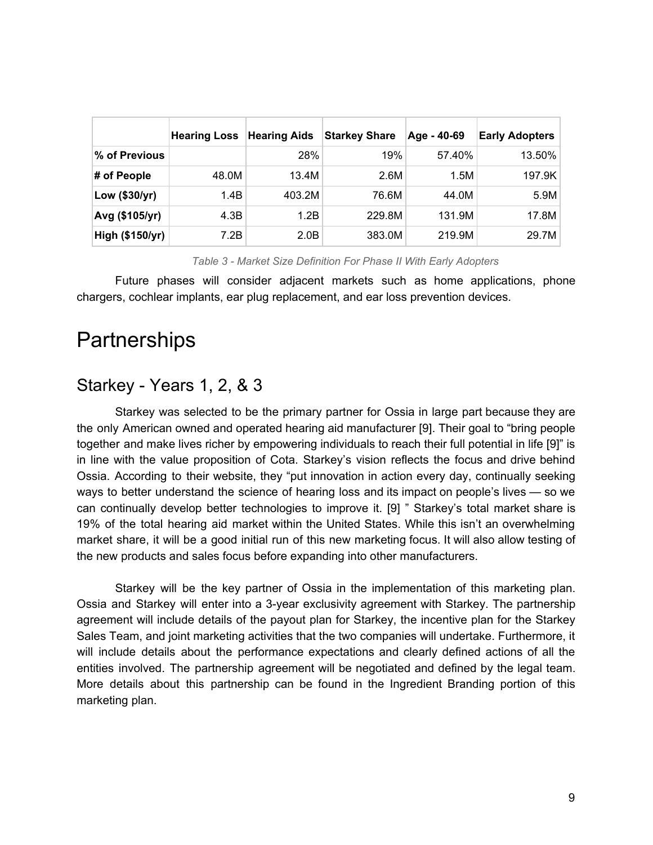|                 | <b>Hearing Loss</b> | <b>Hearing Aids</b> | <b>Starkey Share</b> | Age - 40-69 | <b>Early Adopters</b> |
|-----------------|---------------------|---------------------|----------------------|-------------|-----------------------|
| % of Previous   |                     | 28%                 | 19%                  | 57.40%      | 13.50%                |
| # of People     | 48.0M               | 13.4M               | 2.6M                 | 1.5M        | 197.9K                |
| Low (\$30/yr)   | 1.4B                | 403.2M              | 76.6M                | 44.0M       | 5.9M                  |
| Avg (\$105/yr)  | 4.3B                | 1.2B                | 229.8M               | 131.9M      | 17.8M                 |
| High (\$150/yr) | 7.2B                | 2.0B                | 383.0M               | 219.9M      | 29.7M                 |

*Table 3 - Market Size Definition For Phase II With Early Adopters*

Future phases will consider adjacent markets such as home applications, phone chargers, cochlear implants, ear plug replacement, and ear loss prevention devices.

## **Partnerships**

### Starkey - Years 1, 2, & 3

Starkey was selected to be the primary partner for Ossia in large part because they are the only American owned and operated hearing aid manufacturer [9]. Their goal to "bring people together and make lives richer by empowering individuals to reach their full potential in life [9]" is in line with the value proposition of Cota. Starkey's vision reflects the focus and drive behind Ossia. According to their website, they "put innovation in action every day, continually seeking ways to better understand the science of hearing loss and its impact on people's lives — so we can continually develop better technologies to improve it. [9] " Starkey's total market share is 19% of the total hearing aid market within the United States. While this isn't an overwhelming market share, it will be a good initial run of this new marketing focus. It will also allow testing of the new products and sales focus before expanding into other manufacturers.

Starkey will be the key partner of Ossia in the implementation of this marketing plan. Ossia and Starkey will enter into a 3-year exclusivity agreement with Starkey. The partnership agreement will include details of the payout plan for Starkey, the incentive plan for the Starkey Sales Team, and joint marketing activities that the two companies will undertake. Furthermore, it will include details about the performance expectations and clearly defined actions of all the entities involved. The partnership agreement will be negotiated and defined by the legal team. More details about this partnership can be found in the Ingredient Branding portion of this marketing plan.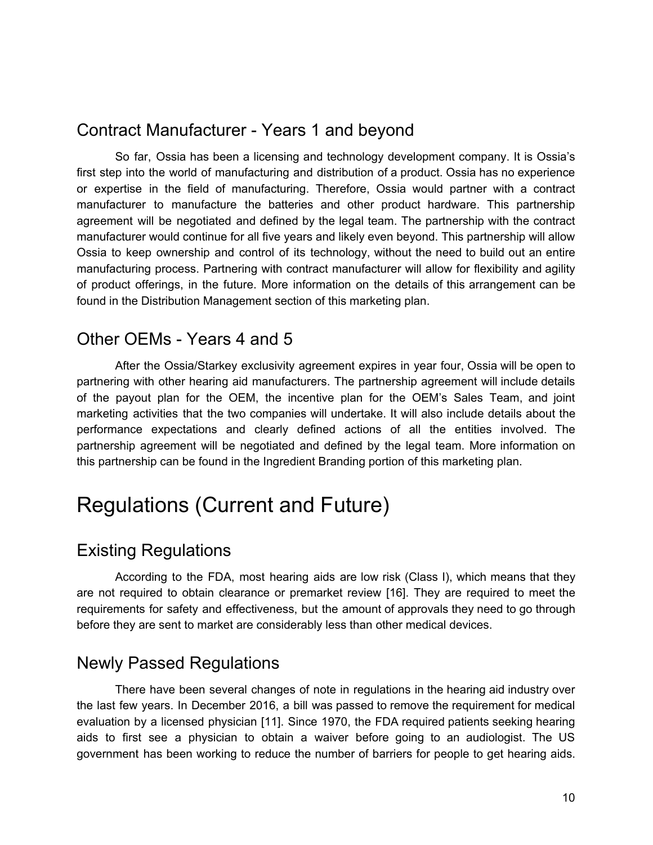### Contract Manufacturer - Years 1 and beyond

So far, Ossia has been a licensing and technology development company. It is Ossia's first step into the world of manufacturing and distribution of a product. Ossia has no experience or expertise in the field of manufacturing. Therefore, Ossia would partner with a contract manufacturer to manufacture the batteries and other product hardware. This partnership agreement will be negotiated and defined by the legal team. The partnership with the contract manufacturer would continue for all five years and likely even beyond. This partnership will allow Ossia to keep ownership and control of its technology, without the need to build out an entire manufacturing process. Partnering with contract manufacturer will allow for flexibility and agility of product offerings, in the future. More information on the details of this arrangement can be found in the Distribution Management section of this marketing plan.

### Other OEMs - Years 4 and 5

After the Ossia/Starkey exclusivity agreement expires in year four, Ossia will be open to partnering with other hearing aid manufacturers. The partnership agreement will include details of the payout plan for the OEM, the incentive plan for the OEM's Sales Team, and joint marketing activities that the two companies will undertake. It will also include details about the performance expectations and clearly defined actions of all the entities involved. The partnership agreement will be negotiated and defined by the legal team. More information on this partnership can be found in the Ingredient Branding portion of this marketing plan.

## Regulations (Current and Future)

### Existing Regulations

According to the FDA, most hearing aids are low risk (Class I), which means that they are not required to obtain clearance or premarket review [16]. They are required to meet the requirements for safety and effectiveness, but the amount of approvals they need to go through before they are sent to market are considerably less than other medical devices.

### Newly Passed Regulations

There have been several changes of note in regulations in the hearing aid industry over the last few years. In December 2016, a bill was passed to remove the requirement for medical evaluation by a licensed physician [11]. Since 1970, the FDA required patients seeking hearing aids to first see a physician to obtain a waiver before going to an audiologist. The US government has been working to reduce the number of barriers for people to get hearing aids.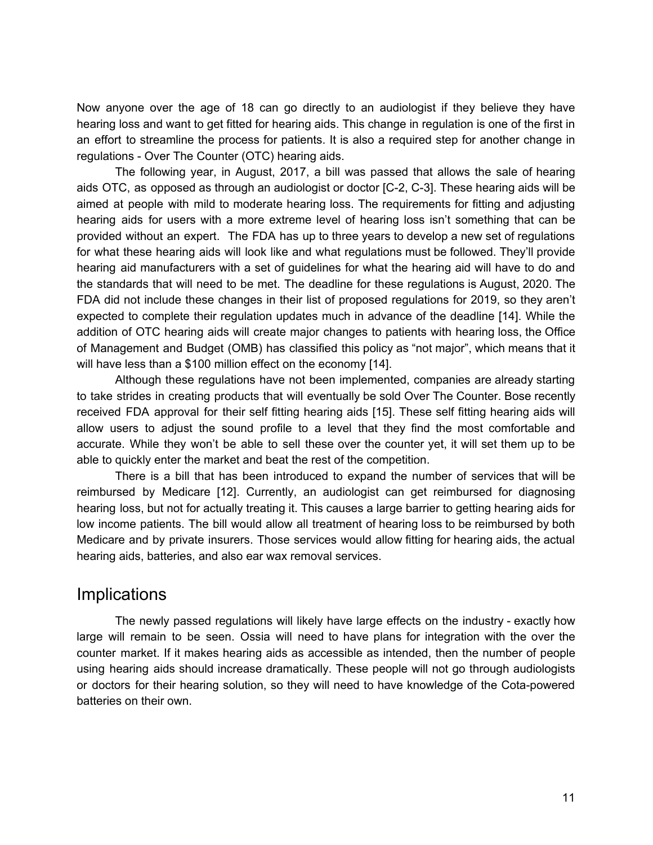Now anyone over the age of 18 can go directly to an audiologist if they believe they have hearing loss and want to get fitted for hearing aids. This change in regulation is one of the first in an effort to streamline the process for patients. It is also a required step for another change in regulations - Over The Counter (OTC) hearing aids.

The following year, in August, 2017, a bill was passed that allows the sale of hearing aids OTC, as opposed as through an audiologist or doctor [C-2, C-3]. These hearing aids will be aimed at people with mild to moderate hearing loss. The requirements for fitting and adjusting hearing aids for users with a more extreme level of hearing loss isn't something that can be provided without an expert. The FDA has up to three years to develop a new set of regulations for what these hearing aids will look like and what regulations must be followed. They'll provide hearing aid manufacturers with a set of guidelines for what the hearing aid will have to do and the standards that will need to be met. The deadline for these regulations is August, 2020. The FDA did not include these changes in their list of proposed regulations for 2019, so they aren't expected to complete their regulation updates much in advance of the deadline [14]. While the addition of OTC hearing aids will create major changes to patients with hearing loss, the Office of Management and Budget (OMB) has classified this policy as "not major", which means that it will have less than a \$100 million effect on the economy [14].

Although these regulations have not been implemented, companies are already starting to take strides in creating products that will eventually be sold Over The Counter. Bose recently received FDA approval for their self fitting hearing aids [15]. These self fitting hearing aids will allow users to adjust the sound profile to a level that they find the most comfortable and accurate. While they won't be able to sell these over the counter yet, it will set them up to be able to quickly enter the market and beat the rest of the competition.

There is a bill that has been introduced to expand the number of services that will be reimbursed by Medicare [12]. Currently, an audiologist can get reimbursed for diagnosing hearing loss, but not for actually treating it. This causes a large barrier to getting hearing aids for low income patients. The bill would allow all treatment of hearing loss to be reimbursed by both Medicare and by private insurers. Those services would allow fitting for hearing aids, the actual hearing aids, batteries, and also ear wax removal services.

### Implications

The newly passed regulations will likely have large effects on the industry - exactly how large will remain to be seen. Ossia will need to have plans for integration with the over the counter market. If it makes hearing aids as accessible as intended, then the number of people using hearing aids should increase dramatically. These people will not go through audiologists or doctors for their hearing solution, so they will need to have knowledge of the Cota-powered batteries on their own.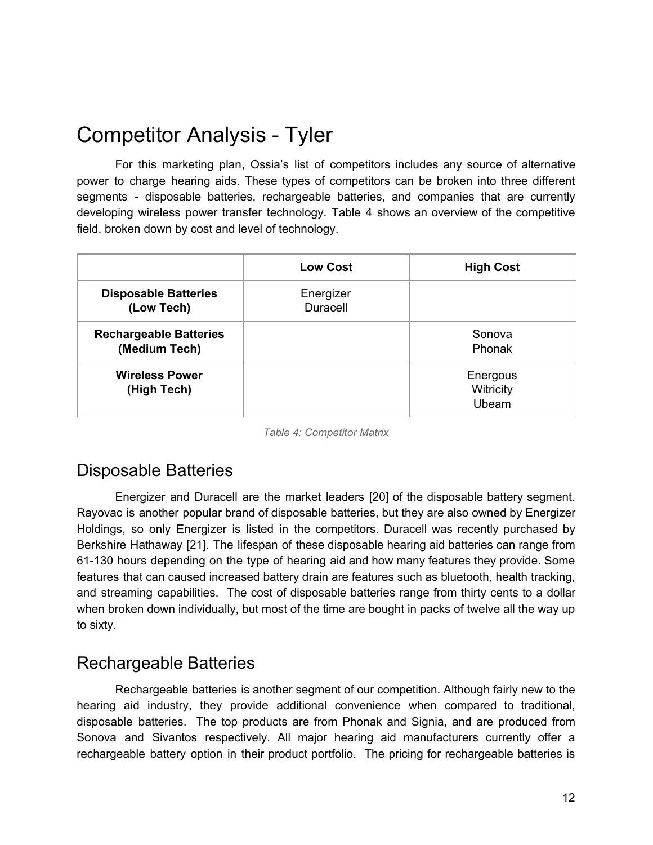## Competitor Analysis - Tyler

For this marketing plan, Ossia's list of competitors includes any source of alternative power to charge hearing aids. These types of competitors can be broken into three different segments - disposable batteries, rechargeable batteries, and companies that are currently developing wireless power transfer technology. Table 4 shows an overview of the competitive field, broken down by cost and level of technology.

|                                                | <b>Low Cost</b>       | <b>High Cost</b>               |
|------------------------------------------------|-----------------------|--------------------------------|
| <b>Disposable Batteries</b><br>(Low Tech)      | Energizer<br>Duracell |                                |
| <b>Rechargeable Batteries</b><br>(Medium Tech) |                       | Sonova<br>Phonak               |
| <b>Wireless Power</b><br>(High Tech)           |                       | Energous<br>Witricity<br>Ubeam |

*Table 4: Competitor Matrix*

## Disposable Batteries

Energizer and Duracell are the market leaders [20] of the disposable battery segment. Rayovac is another popular brand of disposable batteries, but they are also owned by Energizer Holdings, so only Energizer is listed in the competitors. Duracell was recently purchased by Berkshire Hathaway [21]. The lifespan of these disposable hearing aid batteries can range from 61-130 hours depending on the type of hearing aid and how many features they provide. Some features that can caused increased battery drain are features such as bluetooth, health tracking, and streaming capabilities. The cost of disposable batteries range from thirty cents to a dollar when broken down individually, but most of the time are bought in packs of twelve all the way up to sixty.

### Rechargeable Batteries

Rechargeable batteries is another segment of our competition. Although fairly new to the hearing aid industry, they provide additional convenience when compared to traditional, disposable batteries. The top products are from Phonak and Signia, and are produced from Sonova and Sivantos respectively. All major hearing aid manufacturers currently offer a rechargeable battery option in their product portfolio. The pricing for rechargeable batteries is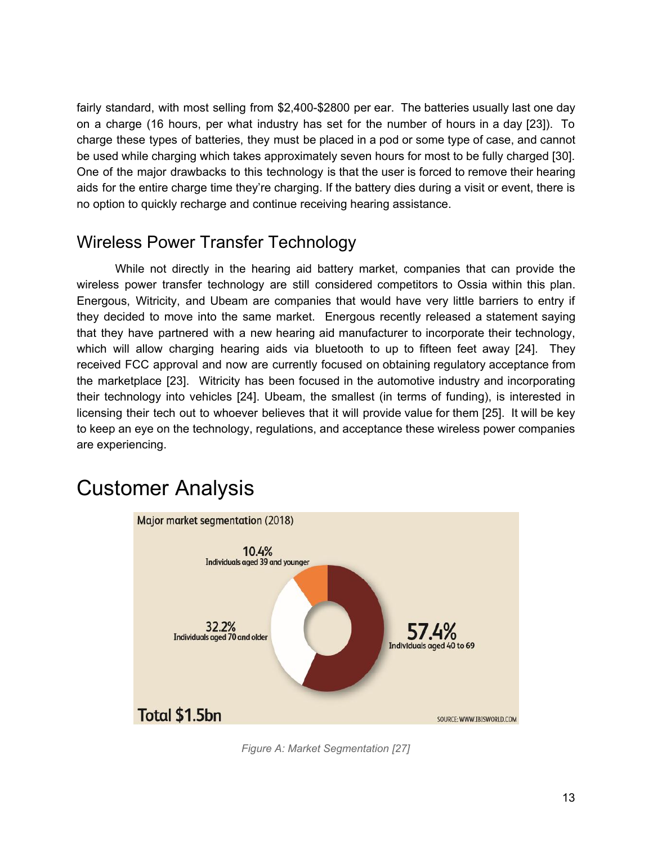fairly standard, with most selling from \$2,400-\$2800 per ear. The batteries usually last one day on a charge (16 hours, per what industry has set for the number of hours in a day [23]). To charge these types of batteries, they must be placed in a pod or some type of case, and cannot be used while charging which takes approximately seven hours for most to be fully charged [30]. One of the major drawbacks to this technology is that the user is forced to remove their hearing aids for the entire charge time they're charging. If the battery dies during a visit or event, there is no option to quickly recharge and continue receiving hearing assistance.

## Wireless Power Transfer Technology

While not directly in the hearing aid battery market, companies that can provide the wireless power transfer technology are still considered competitors to Ossia within this plan. Energous, Witricity, and Ubeam are companies that would have very little barriers to entry if they decided to move into the same market. Energous recently released a statement saying that they have partnered with a new hearing aid manufacturer to incorporate their technology, which will allow charging hearing aids via bluetooth to up to fifteen feet away [24]. They received FCC approval and now are currently focused on obtaining regulatory acceptance from the marketplace [23]. Witricity has been focused in the automotive industry and incorporating their technology into vehicles [24]. Ubeam, the smallest (in terms of funding), is interested in licensing their tech out to whoever believes that it will provide value for them [25]. It will be key to keep an eye on the technology, regulations, and acceptance these wireless power companies are experiencing.

## Customer Analysis



*Figure A: Market Segmentation [27]*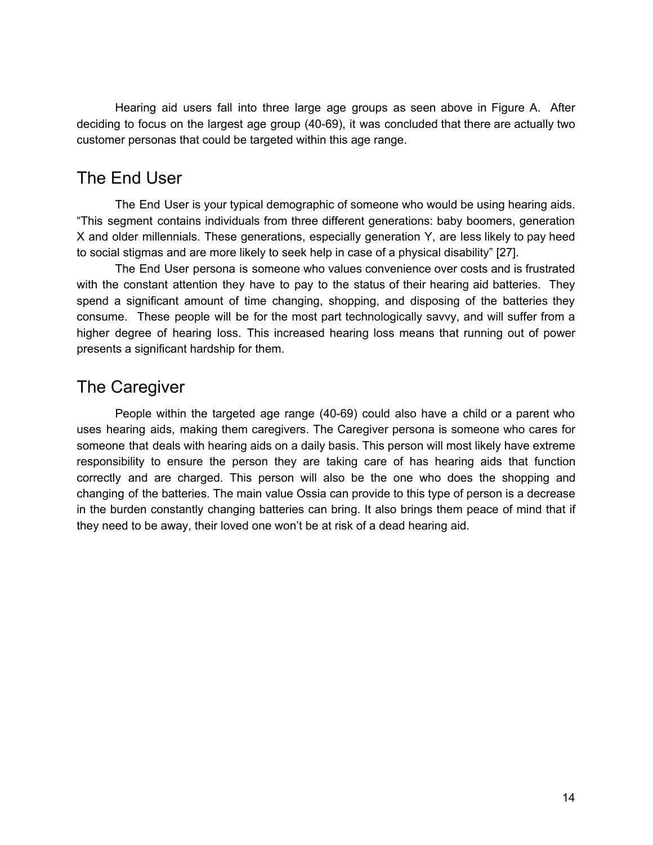Hearing aid users fall into three large age groups as seen above in Figure A. After deciding to focus on the largest age group (40-69), it was concluded that there are actually two customer personas that could be targeted within this age range.

### The End User

The End User is your typical demographic of someone who would be using hearing aids. "This segment contains individuals from three different generations: baby boomers, generation X and older millennials. These generations, especially generation Y, are less likely to pay heed to social stigmas and are more likely to seek help in case of a physical disability" [27].

The End User persona is someone who values convenience over costs and is frustrated with the constant attention they have to pay to the status of their hearing aid batteries. They spend a significant amount of time changing, shopping, and disposing of the batteries they consume. These people will be for the most part technologically savvy, and will suffer from a higher degree of hearing loss. This increased hearing loss means that running out of power presents a significant hardship for them.

## The Caregiver

People within the targeted age range (40-69) could also have a child or a parent who uses hearing aids, making them caregivers. The Caregiver persona is someone who cares for someone that deals with hearing aids on a daily basis. This person will most likely have extreme responsibility to ensure the person they are taking care of has hearing aids that function correctly and are charged. This person will also be the one who does the shopping and changing of the batteries. The main value Ossia can provide to this type of person is a decrease in the burden constantly changing batteries can bring. It also brings them peace of mind that if they need to be away, their loved one won't be at risk of a dead hearing aid.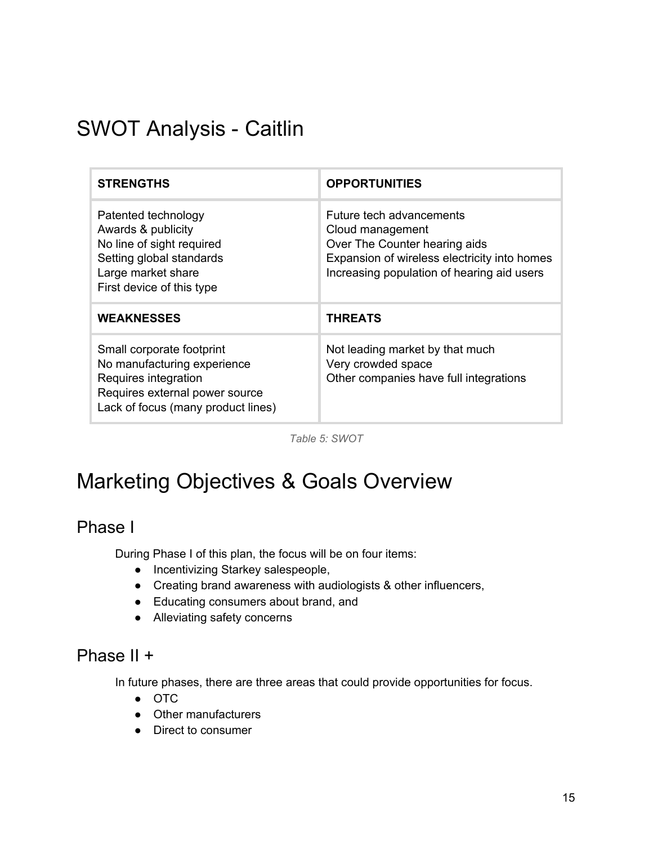## SWOT Analysis - Caitlin

| <b>STRENGTHS</b>                                                                                                                                         | <b>OPPORTUNITIES</b>                                                                                                                                                        |
|----------------------------------------------------------------------------------------------------------------------------------------------------------|-----------------------------------------------------------------------------------------------------------------------------------------------------------------------------|
| Patented technology<br>Awards & publicity<br>No line of sight required<br>Setting global standards<br>Large market share<br>First device of this type    | Future tech advancements<br>Cloud management<br>Over The Counter hearing aids<br>Expansion of wireless electricity into homes<br>Increasing population of hearing aid users |
| <b>WEAKNESSES</b>                                                                                                                                        | <b>THREATS</b>                                                                                                                                                              |
| Small corporate footprint<br>No manufacturing experience<br>Requires integration<br>Requires external power source<br>Lack of focus (many product lines) | Not leading market by that much<br>Very crowded space<br>Other companies have full integrations                                                                             |

*Table 5: SWOT*

## Marketing Objectives & Goals Overview

### Phase I

During Phase I of this plan, the focus will be on four items:

- Incentivizing Starkey salespeople,
- Creating brand awareness with audiologists & other influencers,
- Educating consumers about brand, and
- Alleviating safety concerns

## Phase II +

In future phases, there are three areas that could provide opportunities for focus.

- OTC
- Other manufacturers
- Direct to consumer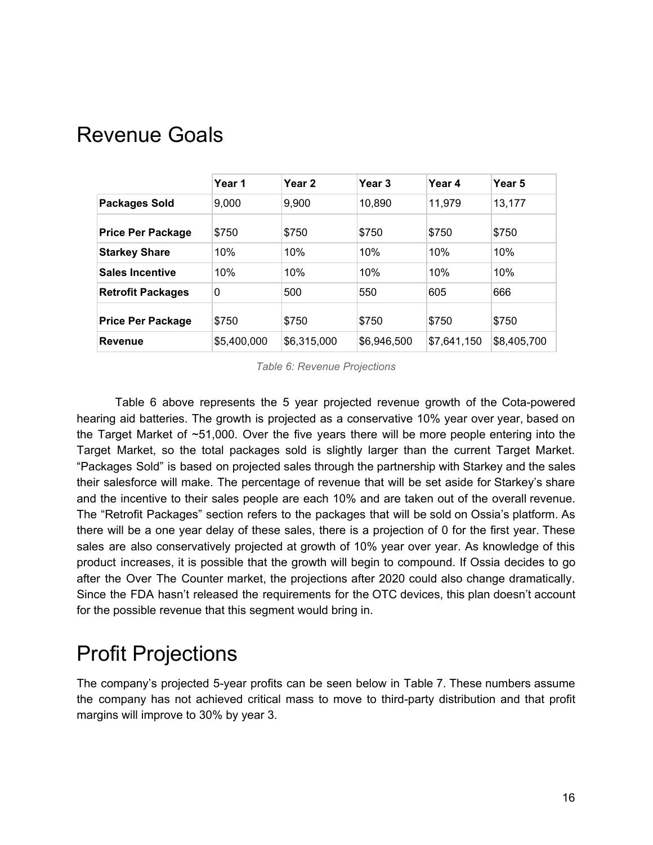| <b>Revenue Goals</b> |  |
|----------------------|--|
|----------------------|--|

|                          | Year 1      | Year <sub>2</sub> | Year <sub>3</sub> | Year 4      | Year 5      |
|--------------------------|-------------|-------------------|-------------------|-------------|-------------|
| <b>Packages Sold</b>     | 9,000       | 9,900             | 10,890            | 11,979      | 13,177      |
| <b>Price Per Package</b> | \$750       | \$750             | \$750             | \$750       | \$750       |
| <b>Starkey Share</b>     | 10%         | 10%               | 10%               | 10%         | 10%         |
| <b>Sales Incentive</b>   | 10%         | 10%               | 10%               | 10%         | 10%         |
| <b>Retrofit Packages</b> | 0           | 500               | 550               | 605         | 666         |
| <b>Price Per Package</b> | \$750       | \$750             | \$750             | \$750       | \$750       |
| <b>Revenue</b>           | \$5,400,000 | \$6.315,000       | \$6.946.500       | \$7.641.150 | \$8,405,700 |

*Table 6: Revenue Projections*

Table 6 above represents the 5 year projected revenue growth of the Cota-powered hearing aid batteries. The growth is projected as a conservative 10% year over year, based on the Target Market of ~51,000. Over the five years there will be more people entering into the Target Market, so the total packages sold is slightly larger than the current Target Market. "Packages Sold" is based on projected sales through the partnership with Starkey and the sales their salesforce will make. The percentage of revenue that will be set aside for Starkey's share and the incentive to their sales people are each 10% and are taken out of the overall revenue. The "Retrofit Packages" section refers to the packages that will be sold on Ossia's platform. As there will be a one year delay of these sales, there is a projection of 0 for the first year. These sales are also conservatively projected at growth of 10% year over year. As knowledge of this product increases, it is possible that the growth will begin to compound. If Ossia decides to go after the Over The Counter market, the projections after 2020 could also change dramatically. Since the FDA hasn't released the requirements for the OTC devices, this plan doesn't account for the possible revenue that this segment would bring in.

## Profit Projections

The company's projected 5-year profits can be seen below in Table 7. These numbers assume the company has not achieved critical mass to move to third-party distribution and that profit margins will improve to 30% by year 3.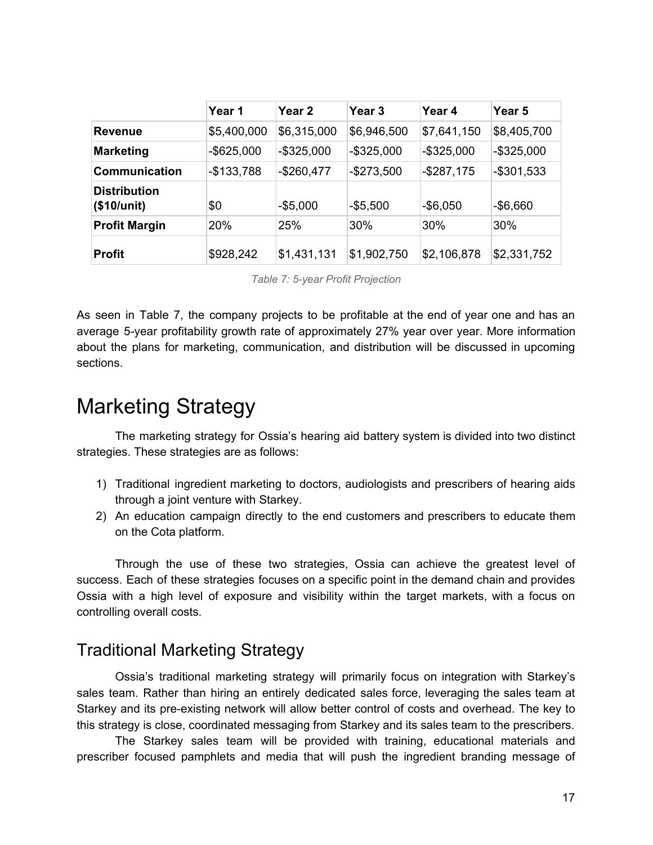|                                    | Year 1        | Year 2        | Year 3        | Year 4        | Year 5        |
|------------------------------------|---------------|---------------|---------------|---------------|---------------|
| <b>Revenue</b>                     | \$5,400,000   | \$6,315,000   | \$6,946,500   | \$7,641,150   | \$8,405,700   |
| <b>Marketing</b>                   | $-$ \$625,000 | $-$ \$325,000 | $-$ \$325,000 | $-$ \$325,000 | $-$ \$325,000 |
| <b>Communication</b>               | $-$133,788$   | $-$260,477$   | $-$273,500$   | $-$287,175$   | $-$ \$301,533 |
| <b>Distribution</b><br>(\$10/unit) | \$0           | $-$5,000$     | $-$ \$5,500   | $-$ \$6,050   | $-$ \$6,660   |
| <b>Profit Margin</b>               | 20%           | 25%           | 30%           | 30%           | $30\%$        |
| <b>Profit</b>                      | \$928,242     | \$1,431,131   | \$1,902,750   | \$2,106,878   | \$2,331,752   |

*Table 7: 5-year Profit Projection*

As seen in Table 7, the company projects to be profitable at the end of year one and has an average 5-year profitability growth rate of approximately 27% year over year. More information about the plans for marketing, communication, and distribution will be discussed in upcoming sections.

## Marketing Strategy

The marketing strategy for Ossia's hearing aid battery system is divided into two distinct strategies. These strategies are as follows:

- 1) Traditional ingredient marketing to doctors, audiologists and prescribers of hearing aids through a joint venture with Starkey.
- 2) An education campaign directly to the end customers and prescribers to educate them on the Cota platform.

Through the use of these two strategies, Ossia can achieve the greatest level of success. Each of these strategies focuses on a specific point in the demand chain and provides Ossia with a high level of exposure and visibility within the target markets, with a focus on controlling overall costs.

### Traditional Marketing Strategy

Ossia's traditional marketing strategy will primarily focus on integration with Starkey's sales team. Rather than hiring an entirely dedicated sales force, leveraging the sales team at Starkey and its pre-existing network will allow better control of costs and overhead. The key to this strategy is close, coordinated messaging from Starkey and its sales team to the prescribers.

The Starkey sales team will be provided with training, educational materials and prescriber focused pamphlets and media that will push the ingredient branding message of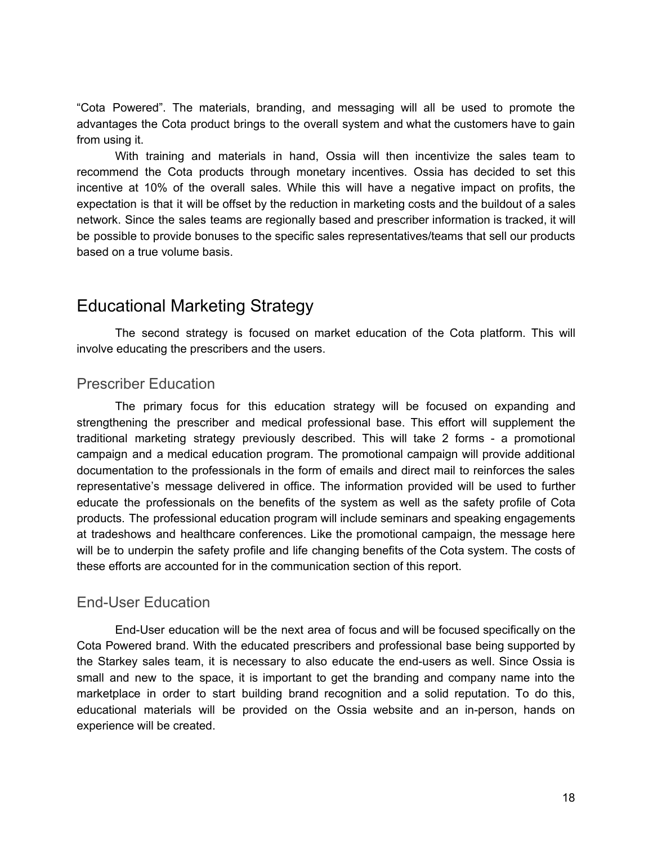"Cota Powered". The materials, branding, and messaging will all be used to promote the advantages the Cota product brings to the overall system and what the customers have to gain from using it.

With training and materials in hand, Ossia will then incentivize the sales team to recommend the Cota products through monetary incentives. Ossia has decided to set this incentive at 10% of the overall sales. While this will have a negative impact on profits, the expectation is that it will be offset by the reduction in marketing costs and the buildout of a sales network. Since the sales teams are regionally based and prescriber information is tracked, it will be possible to provide bonuses to the specific sales representatives/teams that sell our products based on a true volume basis.

### Educational Marketing Strategy

The second strategy is focused on market education of the Cota platform. This will involve educating the prescribers and the users.

#### Prescriber Education

The primary focus for this education strategy will be focused on expanding and strengthening the prescriber and medical professional base. This effort will supplement the traditional marketing strategy previously described. This will take 2 forms - a promotional campaign and a medical education program. The promotional campaign will provide additional documentation to the professionals in the form of emails and direct mail to reinforces the sales representative's message delivered in office. The information provided will be used to further educate the professionals on the benefits of the system as well as the safety profile of Cota products. The professional education program will include seminars and speaking engagements at tradeshows and healthcare conferences. Like the promotional campaign, the message here will be to underpin the safety profile and life changing benefits of the Cota system. The costs of these efforts are accounted for in the communication section of this report.

#### End-User Education

End-User education will be the next area of focus and will be focused specifically on the Cota Powered brand. With the educated prescribers and professional base being supported by the Starkey sales team, it is necessary to also educate the end-users as well. Since Ossia is small and new to the space, it is important to get the branding and company name into the marketplace in order to start building brand recognition and a solid reputation. To do this, educational materials will be provided on the Ossia website and an in-person, hands on experience will be created.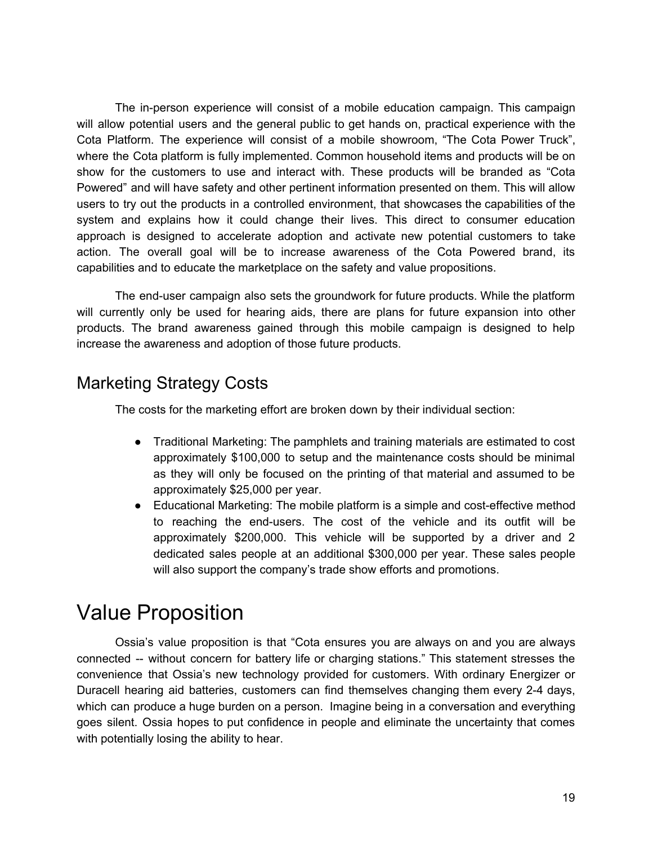The in-person experience will consist of a mobile education campaign. This campaign will allow potential users and the general public to get hands on, practical experience with the Cota Platform. The experience will consist of a mobile showroom, "The Cota Power Truck", where the Cota platform is fully implemented. Common household items and products will be on show for the customers to use and interact with. These products will be branded as "Cota Powered" and will have safety and other pertinent information presented on them. This will allow users to try out the products in a controlled environment, that showcases the capabilities of the system and explains how it could change their lives. This direct to consumer education approach is designed to accelerate adoption and activate new potential customers to take action. The overall goal will be to increase awareness of the Cota Powered brand, its capabilities and to educate the marketplace on the safety and value propositions.

The end-user campaign also sets the groundwork for future products. While the platform will currently only be used for hearing aids, there are plans for future expansion into other products. The brand awareness gained through this mobile campaign is designed to help increase the awareness and adoption of those future products.

## Marketing Strategy Costs

The costs for the marketing effort are broken down by their individual section:

- Traditional Marketing: The pamphlets and training materials are estimated to cost approximately \$100,000 to setup and the maintenance costs should be minimal as they will only be focused on the printing of that material and assumed to be approximately \$25,000 per year.
- Educational Marketing: The mobile platform is a simple and cost-effective method to reaching the end-users. The cost of the vehicle and its outfit will be approximately \$200,000. This vehicle will be supported by a driver and 2 dedicated sales people at an additional \$300,000 per year. These sales people will also support the company's trade show efforts and promotions.

## Value Proposition

Ossia's value proposition is that "Cota ensures you are always on and you are always connected -- without concern for battery life or charging stations." This statement stresses the convenience that Ossia's new technology provided for customers. With ordinary Energizer or Duracell hearing aid batteries, customers can find themselves changing them every 2-4 days, which can produce a huge burden on a person. Imagine being in a conversation and everything goes silent. Ossia hopes to put confidence in people and eliminate the uncertainty that comes with potentially losing the ability to hear.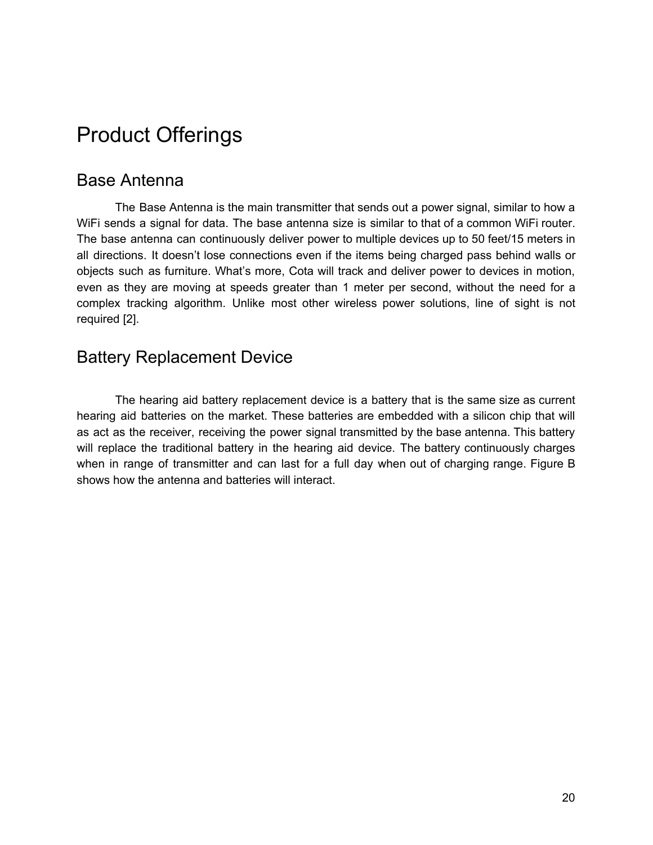## Product Offerings

### Base Antenna

The Base Antenna is the main transmitter that sends out a power signal, similar to how a WiFi sends a signal for data. The base antenna size is similar to that of a common WiFi router. The base antenna can continuously deliver power to multiple devices up to 50 feet/15 meters in all directions. It doesn't lose connections even if the items being charged pass behind walls or objects such as furniture. What's more, Cota will track and deliver power to devices in motion, even as they are moving at speeds greater than 1 meter per second, without the need for a complex tracking algorithm. Unlike most other wireless power solutions, line of sight is not required [2].

### Battery Replacement Device

The hearing aid battery replacement device is a battery that is the same size as current hearing aid batteries on the market. These batteries are embedded with a silicon chip that will as act as the receiver, receiving the power signal transmitted by the base antenna. This battery will replace the traditional battery in the hearing aid device. The battery continuously charges when in range of transmitter and can last for a full day when out of charging range. Figure B shows how the antenna and batteries will interact.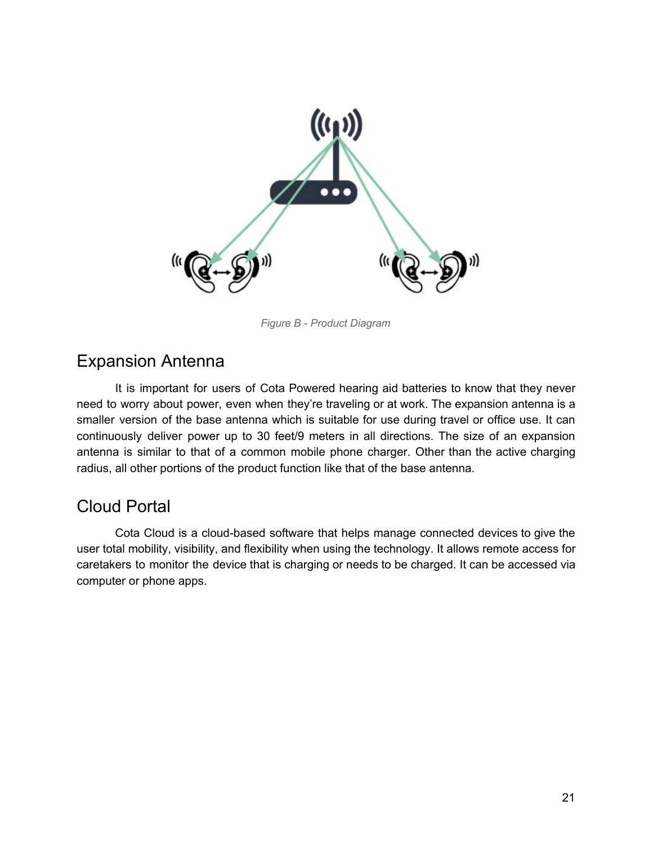

*Figure B - Product Diagram*

### Expansion Antenna

It is important for users of Cota Powered hearing aid batteries to know that they never need to worry about power, even when they're traveling or at work. The expansion antenna is a smaller version of the base antenna which is suitable for use during travel or office use. It can continuously deliver power up to 30 feet/9 meters in all directions. The size of an expansion antenna is similar to that of a common mobile phone charger. Other than the active charging radius, all other portions of the product function like that of the base antenna.

### Cloud Portal

Cota Cloud is a cloud-based software that helps manage connected devices to give the user total mobility, visibility, and flexibility when using the technology. It allows remote access for caretakers to monitor the device that is charging or needs to be charged. It can be accessed via computer or phone apps.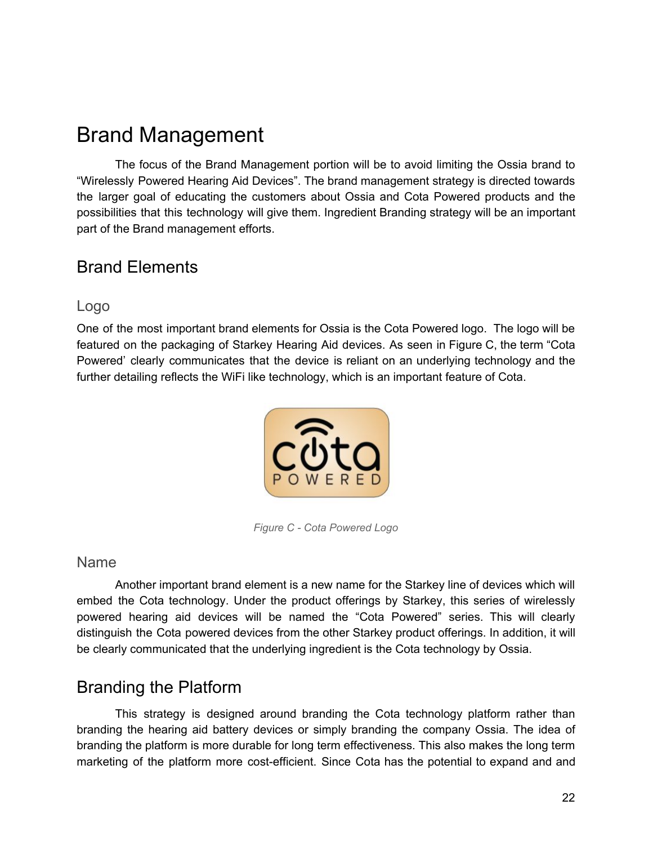## Brand Management

The focus of the Brand Management portion will be to avoid limiting the Ossia brand to "Wirelessly Powered Hearing Aid Devices". The brand management strategy is directed towards the larger goal of educating the customers about Ossia and Cota Powered products and the possibilities that this technology will give them. Ingredient Branding strategy will be an important part of the Brand management efforts.

### Brand Elements

#### Logo

One of the most important brand elements for Ossia is the Cota Powered logo. The logo will be featured on the packaging of Starkey Hearing Aid devices. As seen in Figure C, the term "Cota Powered' clearly communicates that the device is reliant on an underlying technology and the further detailing reflects the WiFi like technology, which is an important feature of Cota.



*Figure C - Cota Powered Logo*

#### Name

Another important brand element is a new name for the Starkey line of devices which will embed the Cota technology. Under the product offerings by Starkey, this series of wirelessly powered hearing aid devices will be named the "Cota Powered" series. This will clearly distinguish the Cota powered devices from the other Starkey product offerings. In addition, it will be clearly communicated that the underlying ingredient is the Cota technology by Ossia.

## Branding the Platform

This strategy is designed around branding the Cota technology platform rather than branding the hearing aid battery devices or simply branding the company Ossia. The idea of branding the platform is more durable for long term effectiveness. This also makes the long term marketing of the platform more cost-efficient. Since Cota has the potential to expand and and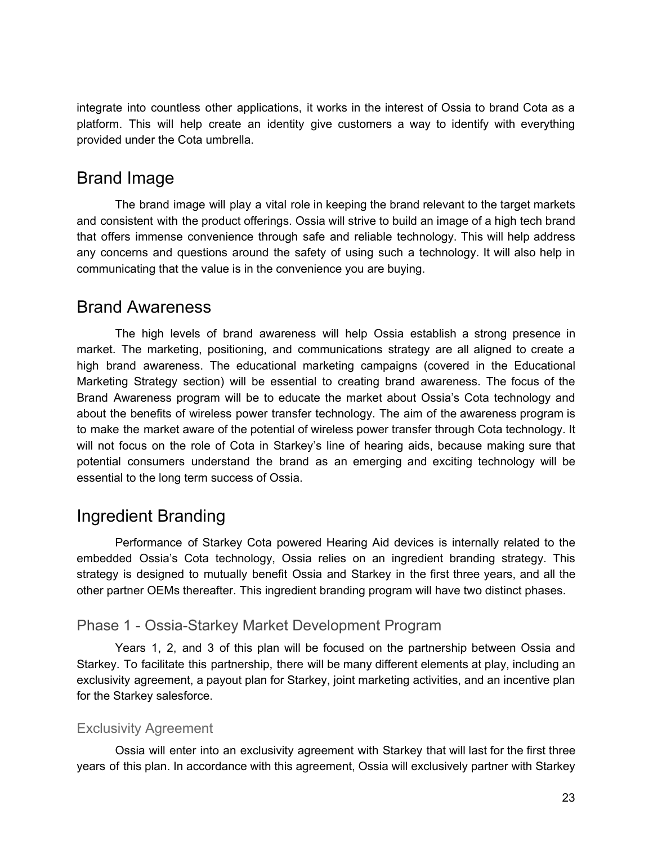integrate into countless other applications, it works in the interest of Ossia to brand Cota as a platform. This will help create an identity give customers a way to identify with everything provided under the Cota umbrella.

### Brand Image

The brand image will play a vital role in keeping the brand relevant to the target markets and consistent with the product offerings. Ossia will strive to build an image of a high tech brand that offers immense convenience through safe and reliable technology. This will help address any concerns and questions around the safety of using such a technology. It will also help in communicating that the value is in the convenience you are buying.

### Brand Awareness

The high levels of brand awareness will help Ossia establish a strong presence in market. The marketing, positioning, and communications strategy are all aligned to create a high brand awareness. The educational marketing campaigns (covered in the Educational Marketing Strategy section) will be essential to creating brand awareness. The focus of the Brand Awareness program will be to educate the market about Ossia's Cota technology and about the benefits of wireless power transfer technology. The aim of the awareness program is to make the market aware of the potential of wireless power transfer through Cota technology. It will not focus on the role of Cota in Starkey's line of hearing aids, because making sure that potential consumers understand the brand as an emerging and exciting technology will be essential to the long term success of Ossia.

## Ingredient Branding

Performance of Starkey Cota powered Hearing Aid devices is internally related to the embedded Ossia's Cota technology, Ossia relies on an ingredient branding strategy. This strategy is designed to mutually benefit Ossia and Starkey in the first three years, and all the other partner OEMs thereafter. This ingredient branding program will have two distinct phases.

#### Phase 1 - Ossia-Starkey Market Development Program

Years 1, 2, and 3 of this plan will be focused on the partnership between Ossia and Starkey. To facilitate this partnership, there will be many different elements at play, including an exclusivity agreement, a payout plan for Starkey, joint marketing activities, and an incentive plan for the Starkey salesforce.

#### Exclusivity Agreement

Ossia will enter into an exclusivity agreement with Starkey that will last for the first three years of this plan. In accordance with this agreement, Ossia will exclusively partner with Starkey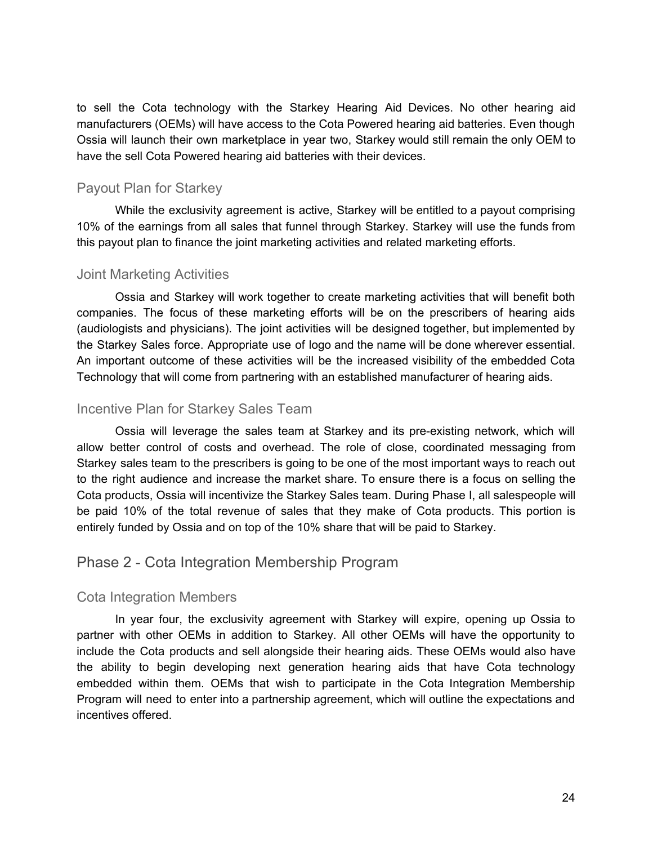to sell the Cota technology with the Starkey Hearing Aid Devices. No other hearing aid manufacturers (OEMs) will have access to the Cota Powered hearing aid batteries. Even though Ossia will launch their own marketplace in year two, Starkey would still remain the only OEM to have the sell Cota Powered hearing aid batteries with their devices.

#### Payout Plan for Starkey

While the exclusivity agreement is active, Starkey will be entitled to a payout comprising 10% of the earnings from all sales that funnel through Starkey. Starkey will use the funds from this payout plan to finance the joint marketing activities and related marketing efforts.

#### Joint Marketing Activities

Ossia and Starkey will work together to create marketing activities that will benefit both companies. The focus of these marketing efforts will be on the prescribers of hearing aids (audiologists and physicians). The joint activities will be designed together, but implemented by the Starkey Sales force. Appropriate use of logo and the name will be done wherever essential. An important outcome of these activities will be the increased visibility of the embedded Cota Technology that will come from partnering with an established manufacturer of hearing aids.

#### Incentive Plan for Starkey Sales Team

Ossia will leverage the sales team at Starkey and its pre-existing network, which will allow better control of costs and overhead. The role of close, coordinated messaging from Starkey sales team to the prescribers is going to be one of the most important ways to reach out to the right audience and increase the market share. To ensure there is a focus on selling the Cota products, Ossia will incentivize the Starkey Sales team. During Phase I, all salespeople will be paid 10% of the total revenue of sales that they make of Cota products. This portion is entirely funded by Ossia and on top of the 10% share that will be paid to Starkey.

#### Phase 2 - Cota Integration Membership Program

#### Cota Integration Members

In year four, the exclusivity agreement with Starkey will expire, opening up Ossia to partner with other OEMs in addition to Starkey. All other OEMs will have the opportunity to include the Cota products and sell alongside their hearing aids. These OEMs would also have the ability to begin developing next generation hearing aids that have Cota technology embedded within them. OEMs that wish to participate in the Cota Integration Membership Program will need to enter into a partnership agreement, which will outline the expectations and incentives offered.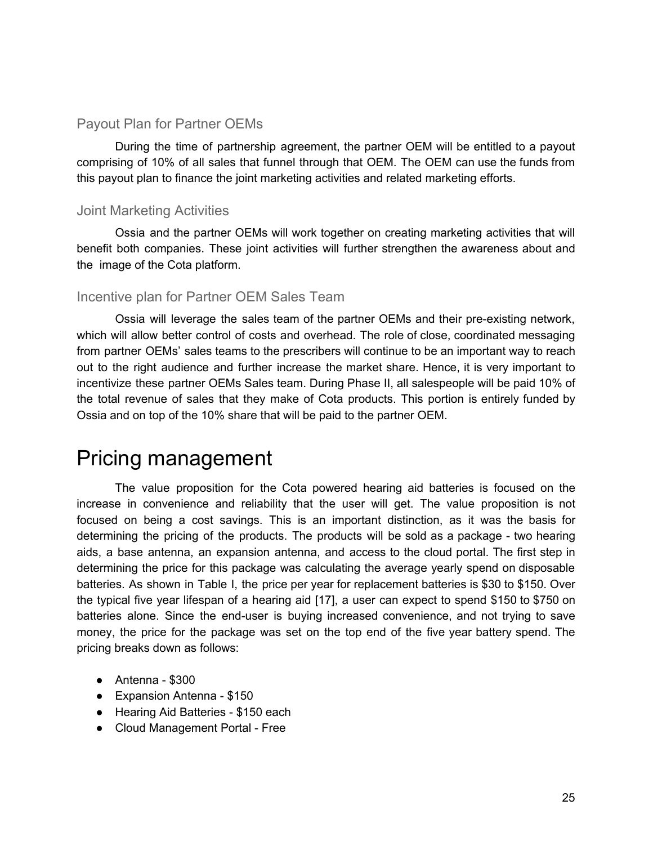#### Payout Plan for Partner OEMs

During the time of partnership agreement, the partner OEM will be entitled to a payout comprising of 10% of all sales that funnel through that OEM. The OEM can use the funds from this payout plan to finance the joint marketing activities and related marketing efforts.

#### Joint Marketing Activities

Ossia and the partner OEMs will work together on creating marketing activities that will benefit both companies. These joint activities will further strengthen the awareness about and the image of the Cota platform.

#### Incentive plan for Partner OEM Sales Team

Ossia will leverage the sales team of the partner OEMs and their pre-existing network, which will allow better control of costs and overhead. The role of close, coordinated messaging from partner OEMs' sales teams to the prescribers will continue to be an important way to reach out to the right audience and further increase the market share. Hence, it is very important to incentivize these partner OEMs Sales team. During Phase II, all salespeople will be paid 10% of the total revenue of sales that they make of Cota products. This portion is entirely funded by Ossia and on top of the 10% share that will be paid to the partner OEM.

## Pricing management

The value proposition for the Cota powered hearing aid batteries is focused on the increase in convenience and reliability that the user will get. The value proposition is not focused on being a cost savings. This is an important distinction, as it was the basis for determining the pricing of the products. The products will be sold as a package - two hearing aids, a base antenna, an expansion antenna, and access to the cloud portal. The first step in determining the price for this package was calculating the average yearly spend on disposable batteries. As shown in Table I, the price per year for replacement batteries is \$30 to \$150. Over the typical five year lifespan of a hearing aid [17], a user can expect to spend \$150 to \$750 on batteries alone. Since the end-user is buying increased convenience, and not trying to save money, the price for the package was set on the top end of the five year battery spend. The pricing breaks down as follows:

- $\bullet$  Antenna \$300
- Expansion Antenna \$150
- Hearing Aid Batteries \$150 each
- Cloud Management Portal Free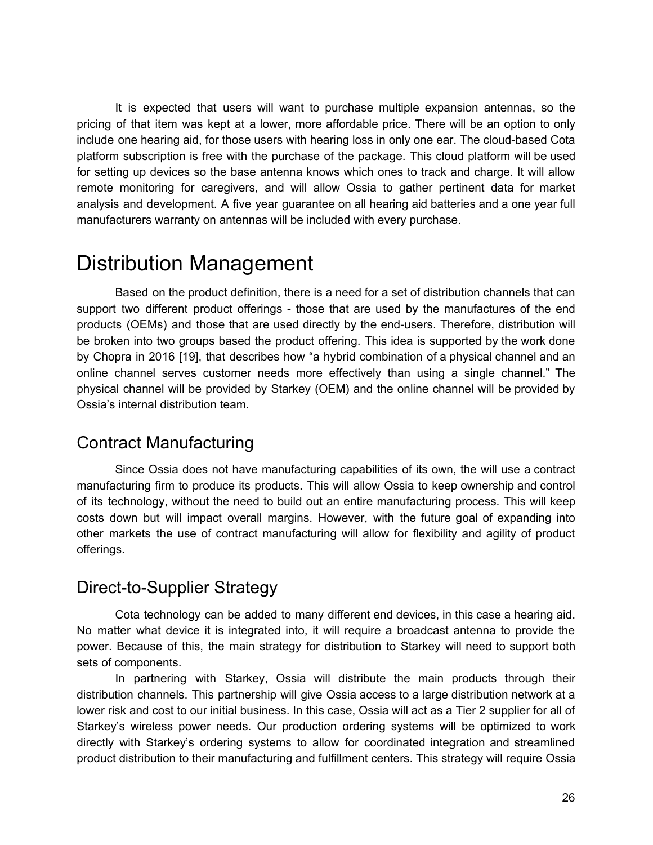It is expected that users will want to purchase multiple expansion antennas, so the pricing of that item was kept at a lower, more affordable price. There will be an option to only include one hearing aid, for those users with hearing loss in only one ear. The cloud-based Cota platform subscription is free with the purchase of the package. This cloud platform will be used for setting up devices so the base antenna knows which ones to track and charge. It will allow remote monitoring for caregivers, and will allow Ossia to gather pertinent data for market analysis and development. A five year guarantee on all hearing aid batteries and a one year full manufacturers warranty on antennas will be included with every purchase.

## Distribution Management

Based on the product definition, there is a need for a set of distribution channels that can support two different product offerings - those that are used by the manufactures of the end products (OEMs) and those that are used directly by the end-users. Therefore, distribution will be broken into two groups based the product offering. This idea is supported by the work done by Chopra in 2016 [19], that describes how "a hybrid combination of a physical channel and an online channel serves customer needs more effectively than using a single channel." The physical channel will be provided by Starkey (OEM) and the online channel will be provided by Ossia's internal distribution team.

## Contract Manufacturing

Since Ossia does not have manufacturing capabilities of its own, the will use a contract manufacturing firm to produce its products. This will allow Ossia to keep ownership and control of its technology, without the need to build out an entire manufacturing process. This will keep costs down but will impact overall margins. However, with the future goal of expanding into other markets the use of contract manufacturing will allow for flexibility and agility of product offerings.

### Direct-to-Supplier Strategy

Cota technology can be added to many different end devices, in this case a hearing aid. No matter what device it is integrated into, it will require a broadcast antenna to provide the power. Because of this, the main strategy for distribution to Starkey will need to support both sets of components.

In partnering with Starkey, Ossia will distribute the main products through their distribution channels. This partnership will give Ossia access to a large distribution network at a lower risk and cost to our initial business. In this case, Ossia will act as a Tier 2 supplier for all of Starkey's wireless power needs. Our production ordering systems will be optimized to work directly with Starkey's ordering systems to allow for coordinated integration and streamlined product distribution to their manufacturing and fulfillment centers. This strategy will require Ossia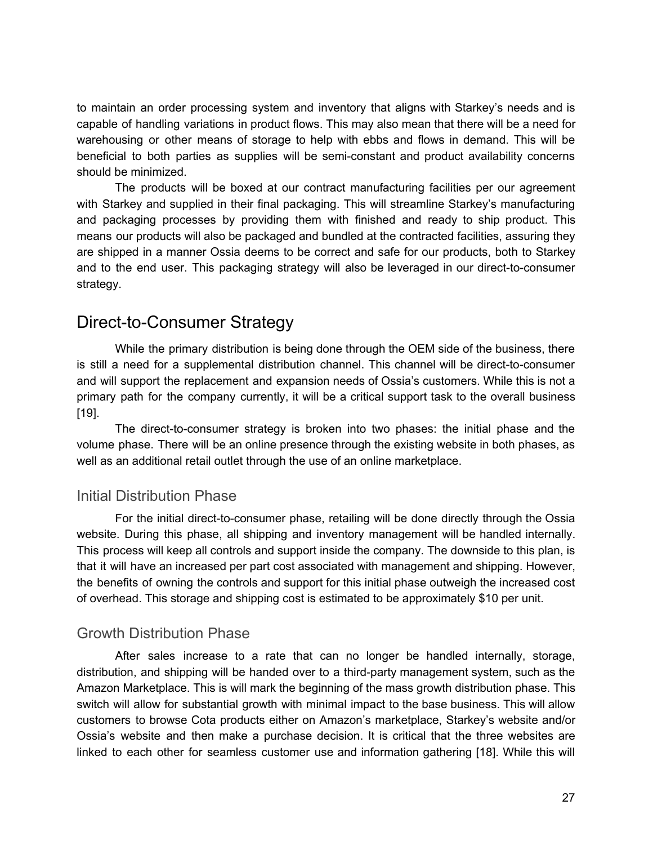to maintain an order processing system and inventory that aligns with Starkey's needs and is capable of handling variations in product flows. This may also mean that there will be a need for warehousing or other means of storage to help with ebbs and flows in demand. This will be beneficial to both parties as supplies will be semi-constant and product availability concerns should be minimized.

The products will be boxed at our contract manufacturing facilities per our agreement with Starkey and supplied in their final packaging. This will streamline Starkey's manufacturing and packaging processes by providing them with finished and ready to ship product. This means our products will also be packaged and bundled at the contracted facilities, assuring they are shipped in a manner Ossia deems to be correct and safe for our products, both to Starkey and to the end user. This packaging strategy will also be leveraged in our direct-to-consumer strategy.

### Direct-to-Consumer Strategy

While the primary distribution is being done through the OEM side of the business, there is still a need for a supplemental distribution channel. This channel will be direct-to-consumer and will support the replacement and expansion needs of Ossia's customers. While this is not a primary path for the company currently, it will be a critical support task to the overall business [19].

The direct-to-consumer strategy is broken into two phases: the initial phase and the volume phase. There will be an online presence through the existing website in both phases, as well as an additional retail outlet through the use of an online marketplace.

#### Initial Distribution Phase

For the initial direct-to-consumer phase, retailing will be done directly through the Ossia website. During this phase, all shipping and inventory management will be handled internally. This process will keep all controls and support inside the company. The downside to this plan, is that it will have an increased per part cost associated with management and shipping. However, the benefits of owning the controls and support for this initial phase outweigh the increased cost of overhead. This storage and shipping cost is estimated to be approximately \$10 per unit.

#### Growth Distribution Phase

After sales increase to a rate that can no longer be handled internally, storage, distribution, and shipping will be handed over to a third-party management system, such as the Amazon Marketplace. This is will mark the beginning of the mass growth distribution phase. This switch will allow for substantial growth with minimal impact to the base business. This will allow customers to browse Cota products either on Amazon's marketplace, Starkey's website and/or Ossia's website and then make a purchase decision. It is critical that the three websites are linked to each other for seamless customer use and information gathering [18]. While this will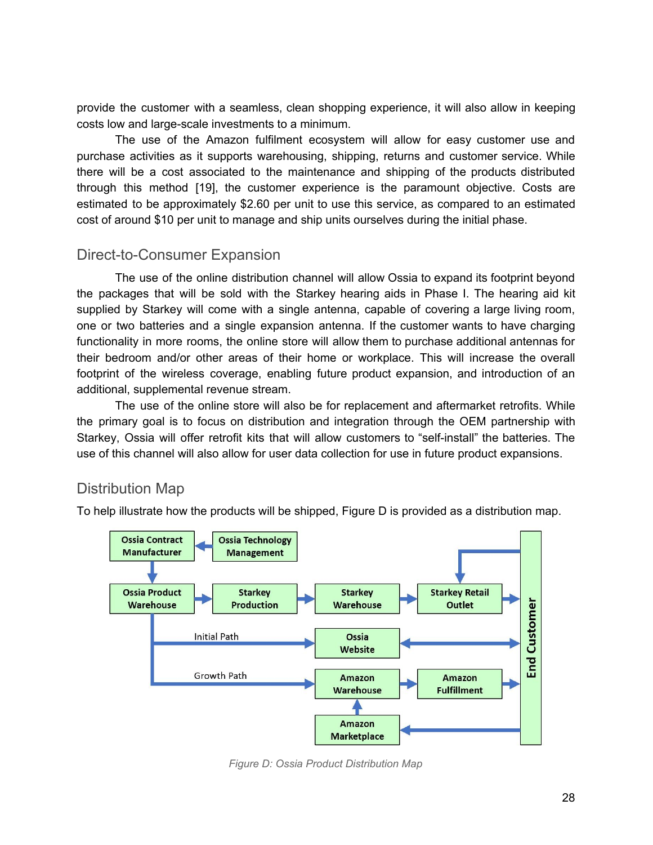provide the customer with a seamless, clean shopping experience, it will also allow in keeping costs low and large-scale investments to a minimum.

The use of the Amazon fulfilment ecosystem will allow for easy customer use and purchase activities as it supports warehousing, shipping, returns and customer service. While there will be a cost associated to the maintenance and shipping of the products distributed through this method [19], the customer experience is the paramount objective. Costs are estimated to be approximately \$2.60 per unit to use this service, as compared to an estimated cost of around \$10 per unit to manage and ship units ourselves during the initial phase.

#### Direct-to-Consumer Expansion

The use of the online distribution channel will allow Ossia to expand its footprint beyond the packages that will be sold with the Starkey hearing aids in Phase I. The hearing aid kit supplied by Starkey will come with a single antenna, capable of covering a large living room, one or two batteries and a single expansion antenna. If the customer wants to have charging functionality in more rooms, the online store will allow them to purchase additional antennas for their bedroom and/or other areas of their home or workplace. This will increase the overall footprint of the wireless coverage, enabling future product expansion, and introduction of an additional, supplemental revenue stream.

The use of the online store will also be for replacement and aftermarket retrofits. While the primary goal is to focus on distribution and integration through the OEM partnership with Starkey, Ossia will offer retrofit kits that will allow customers to "self-install" the batteries. The use of this channel will also allow for user data collection for use in future product expansions.

### Distribution Map

To help illustrate how the products will be shipped, Figure D is provided as a distribution map.



*Figure D: Ossia Product Distribution Map*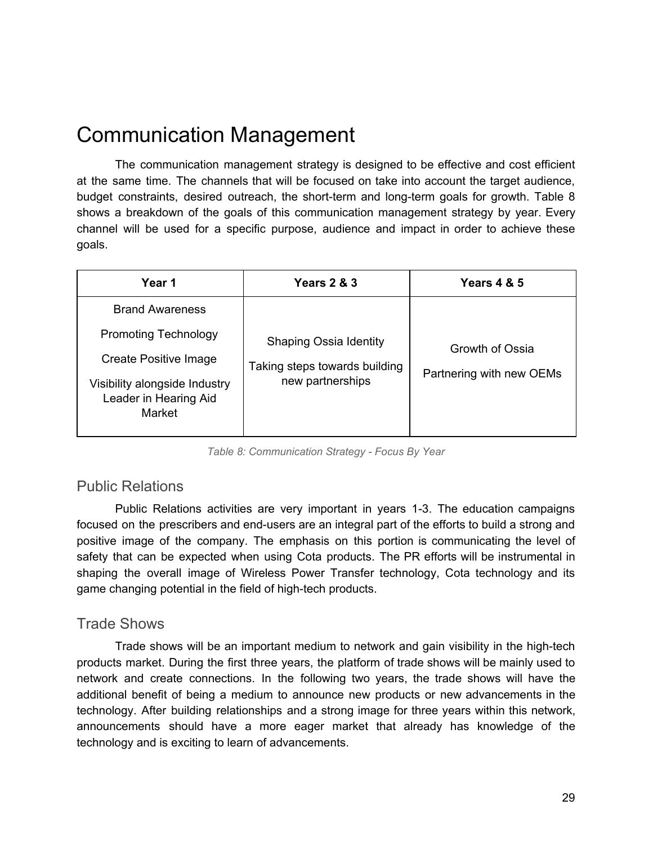## Communication Management

The communication management strategy is designed to be effective and cost efficient at the same time. The channels that will be focused on take into account the target audience, budget constraints, desired outreach, the short-term and long-term goals for growth. Table 8 shows a breakdown of the goals of this communication management strategy by year. Every channel will be used for a specific purpose, audience and impact in order to achieve these goals.

| <b>Year 1</b>                                                           | <b>Years 2 &amp; 3</b>        | <b>Years 4 &amp; 5</b>   |
|-------------------------------------------------------------------------|-------------------------------|--------------------------|
| <b>Brand Awareness</b>                                                  |                               |                          |
| <b>Promoting Technology</b>                                             | <b>Shaping Ossia Identity</b> | Growth of Ossia          |
| Create Positive Image                                                   | Taking steps towards building | Partnering with new OEMs |
| Visibility alongside Industry<br>Leader in Hearing Aid<br><b>Market</b> | new partnerships              |                          |

*Table 8: Communication Strategy - Focus By Year*

#### Public Relations

Public Relations activities are very important in years 1-3. The education campaigns focused on the prescribers and end-users are an integral part of the efforts to build a strong and positive image of the company. The emphasis on this portion is communicating the level of safety that can be expected when using Cota products. The PR efforts will be instrumental in shaping the overall image of Wireless Power Transfer technology, Cota technology and its game changing potential in the field of high-tech products.

#### Trade Shows

Trade shows will be an important medium to network and gain visibility in the high-tech products market. During the first three years, the platform of trade shows will be mainly used to network and create connections. In the following two years, the trade shows will have the additional benefit of being a medium to announce new products or new advancements in the technology. After building relationships and a strong image for three years within this network, announcements should have a more eager market that already has knowledge of the technology and is exciting to learn of advancements.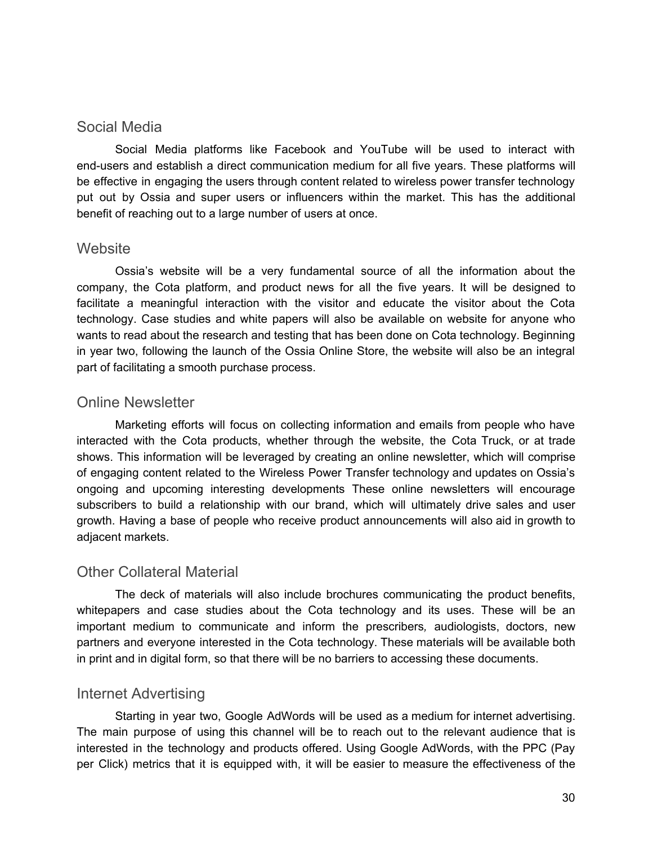#### Social Media

Social Media platforms like Facebook and YouTube will be used to interact with end-users and establish a direct communication medium for all five years. These platforms will be effective in engaging the users through content related to wireless power transfer technology put out by Ossia and super users or influencers within the market. This has the additional benefit of reaching out to a large number of users at once.

#### **Website**

Ossia's website will be a very fundamental source of all the information about the company, the Cota platform, and product news for all the five years. It will be designed to facilitate a meaningful interaction with the visitor and educate the visitor about the Cota technology. Case studies and white papers will also be available on website for anyone who wants to read about the research and testing that has been done on Cota technology. Beginning in year two, following the launch of the Ossia Online Store, the website will also be an integral part of facilitating a smooth purchase process.

#### Online Newsletter

Marketing efforts will focus on collecting information and emails from people who have interacted with the Cota products, whether through the website, the Cota Truck, or at trade shows. This information will be leveraged by creating an online newsletter, which will comprise of engaging content related to the Wireless Power Transfer technology and updates on Ossia's ongoing and upcoming interesting developments These online newsletters will encourage subscribers to build a relationship with our brand, which will ultimately drive sales and user growth. Having a base of people who receive product announcements will also aid in growth to adjacent markets.

#### Other Collateral Material

The deck of materials will also include brochures communicating the product benefits, whitepapers and case studies about the Cota technology and its uses. These will be an important medium to communicate and inform the prescribers*,* audiologists, doctors, new partners and everyone interested in the Cota technology. These materials will be available both in print and in digital form, so that there will be no barriers to accessing these documents.

#### Internet Advertising

Starting in year two, Google AdWords will be used as a medium for internet advertising. The main purpose of using this channel will be to reach out to the relevant audience that is interested in the technology and products offered. Using Google AdWords, with the PPC (Pay per Click) metrics that it is equipped with, it will be easier to measure the effectiveness of the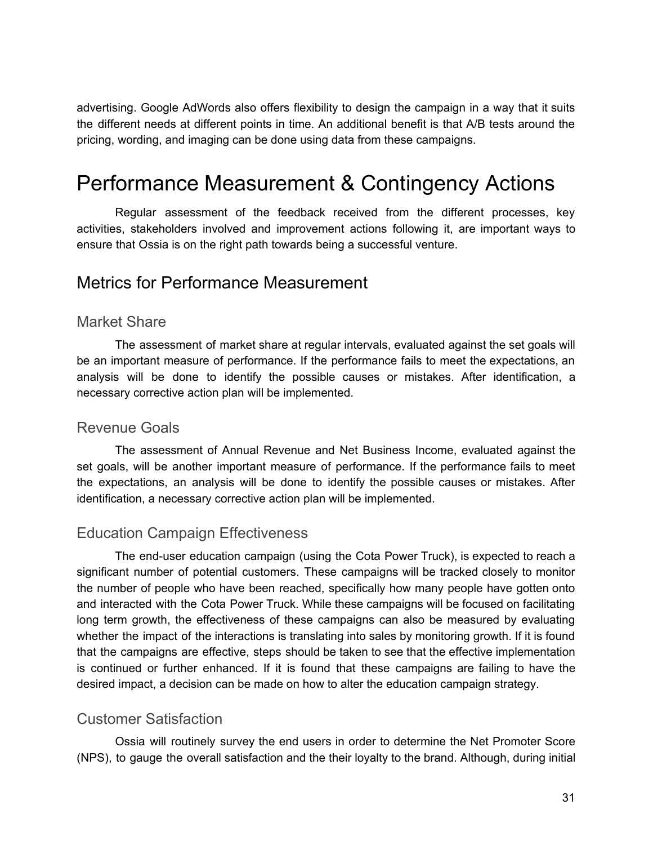advertising. Google AdWords also offers flexibility to design the campaign in a way that it suits the different needs at different points in time. An additional benefit is that A/B tests around the pricing, wording, and imaging can be done using data from these campaigns.

## Performance Measurement & Contingency Actions

Regular assessment of the feedback received from the different processes, key activities, stakeholders involved and improvement actions following it, are important ways to ensure that Ossia is on the right path towards being a successful venture.

### Metrics for Performance Measurement

#### Market Share

The assessment of market share at regular intervals, evaluated against the set goals will be an important measure of performance. If the performance fails to meet the expectations, an analysis will be done to identify the possible causes or mistakes. After identification, a necessary corrective action plan will be implemented.

#### Revenue Goals

The assessment of Annual Revenue and Net Business Income, evaluated against the set goals, will be another important measure of performance. If the performance fails to meet the expectations, an analysis will be done to identify the possible causes or mistakes. After identification, a necessary corrective action plan will be implemented.

#### Education Campaign Effectiveness

The end-user education campaign (using the Cota Power Truck), is expected to reach a significant number of potential customers. These campaigns will be tracked closely to monitor the number of people who have been reached, specifically how many people have gotten onto and interacted with the Cota Power Truck. While these campaigns will be focused on facilitating long term growth, the effectiveness of these campaigns can also be measured by evaluating whether the impact of the interactions is translating into sales by monitoring growth. If it is found that the campaigns are effective, steps should be taken to see that the effective implementation is continued or further enhanced. If it is found that these campaigns are failing to have the desired impact, a decision can be made on how to alter the education campaign strategy.

#### Customer Satisfaction

Ossia will routinely survey the end users in order to determine the Net Promoter Score (NPS), to gauge the overall satisfaction and the their loyalty to the brand. Although, during initial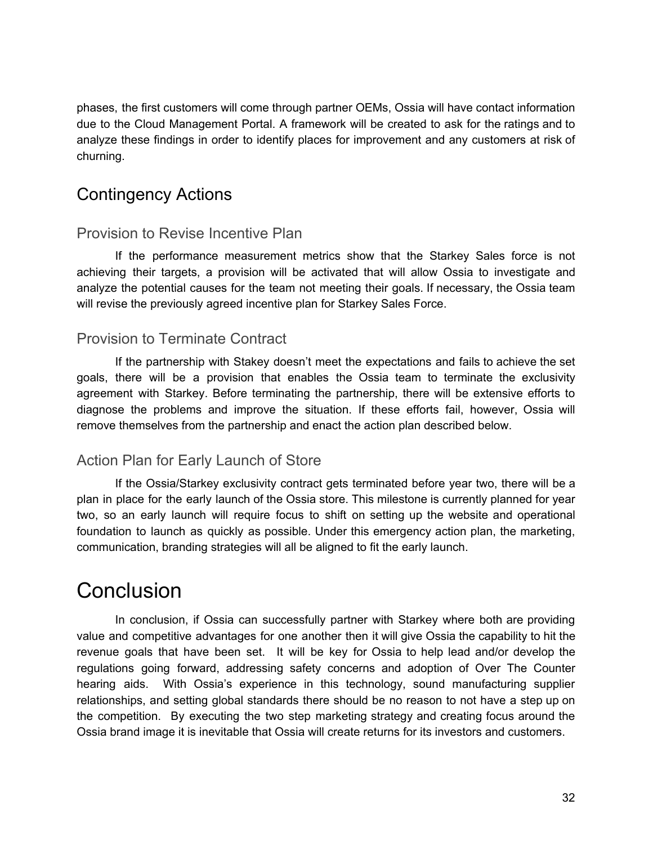phases, the first customers will come through partner OEMs, Ossia will have contact information due to the Cloud Management Portal. A framework will be created to ask for the ratings and to analyze these findings in order to identify places for improvement and any customers at risk of churning.

## Contingency Actions

#### Provision to Revise Incentive Plan

If the performance measurement metrics show that the Starkey Sales force is not achieving their targets, a provision will be activated that will allow Ossia to investigate and analyze the potential causes for the team not meeting their goals. If necessary, the Ossia team will revise the previously agreed incentive plan for Starkey Sales Force.

### Provision to Terminate Contract

If the partnership with Stakey doesn't meet the expectations and fails to achieve the set goals, there will be a provision that enables the Ossia team to terminate the exclusivity agreement with Starkey. Before terminating the partnership, there will be extensive efforts to diagnose the problems and improve the situation. If these efforts fail, however, Ossia will remove themselves from the partnership and enact the action plan described below.

### Action Plan for Early Launch of Store

If the Ossia/Starkey exclusivity contract gets terminated before year two, there will be a plan in place for the early launch of the Ossia store. This milestone is currently planned for year two, so an early launch will require focus to shift on setting up the website and operational foundation to launch as quickly as possible. Under this emergency action plan, the marketing, communication, branding strategies will all be aligned to fit the early launch.

## **Conclusion**

In conclusion, if Ossia can successfully partner with Starkey where both are providing value and competitive advantages for one another then it will give Ossia the capability to hit the revenue goals that have been set. It will be key for Ossia to help lead and/or develop the regulations going forward, addressing safety concerns and adoption of Over The Counter hearing aids. With Ossia's experience in this technology, sound manufacturing supplier relationships, and setting global standards there should be no reason to not have a step up on the competition. By executing the two step marketing strategy and creating focus around the Ossia brand image it is inevitable that Ossia will create returns for its investors and customers.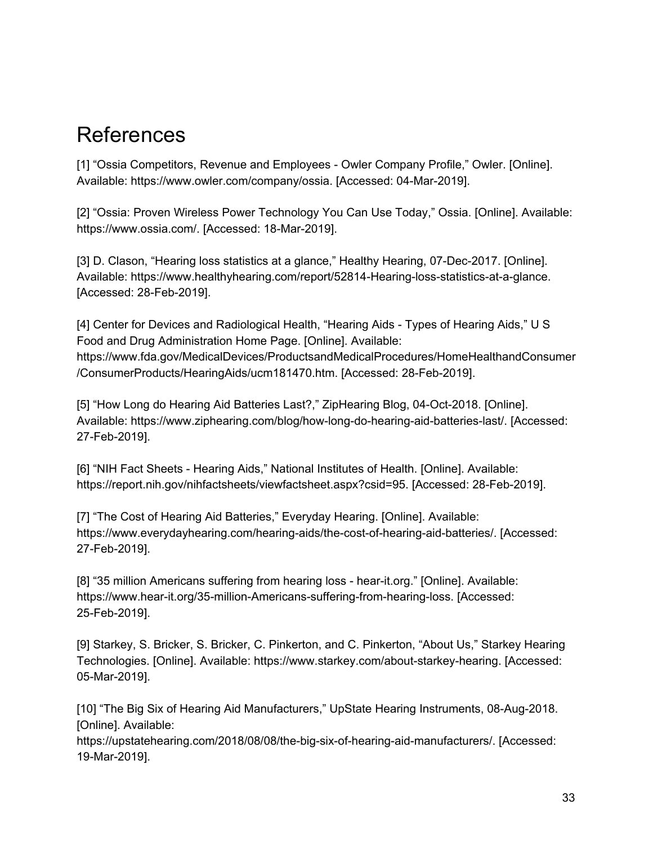## References

[1] "Ossia Competitors, Revenue and Employees - Owler Company Profile," Owler. [Online]. Available: https://www.owler.com/company/ossia. [Accessed: 04-Mar-2019].

[2] "Ossia: Proven Wireless Power Technology You Can Use Today," Ossia. [Online]. Available: https://www.ossia.com/. [Accessed: 18-Mar-2019].

[3] D. Clason, "Hearing loss statistics at a glance," Healthy Hearing, 07-Dec-2017. [Online]. Available: https://www.healthyhearing.com/report/52814-Hearing-loss-statistics-at-a-glance. [Accessed: 28-Feb-2019].

[4] Center for Devices and Radiological Health, "Hearing Aids - Types of Hearing Aids," U S Food and Drug Administration Home Page. [Online]. Available: https://www.fda.gov/MedicalDevices/ProductsandMedicalProcedures/HomeHealthandConsumer /ConsumerProducts/HearingAids/ucm181470.htm. [Accessed: 28-Feb-2019].

[5] "How Long do Hearing Aid Batteries Last?," ZipHearing Blog, 04-Oct-2018. [Online]. Available: https://www.ziphearing.com/blog/how-long-do-hearing-aid-batteries-last/. [Accessed: 27-Feb-2019].

[6] "NIH Fact Sheets - Hearing Aids," National Institutes of Health. [Online]. Available: https://report.nih.gov/nihfactsheets/viewfactsheet.aspx?csid=95. [Accessed: 28-Feb-2019].

[7] "The Cost of Hearing Aid Batteries," Everyday Hearing. [Online]. Available: https://www.everydayhearing.com/hearing-aids/the-cost-of-hearing-aid-batteries/. [Accessed: 27-Feb-2019].

[8] "35 million Americans suffering from hearing loss - hear-it.org." [Online]. Available: https://www.hear-it.org/35-million-Americans-suffering-from-hearing-loss. [Accessed: 25-Feb-2019].

[9] Starkey, S. Bricker, S. Bricker, C. Pinkerton, and C. Pinkerton, "About Us," Starkey Hearing Technologies. [Online]. Available: https://www.starkey.com/about-starkey-hearing. [Accessed: 05-Mar-2019].

[10] "The Big Six of Hearing Aid Manufacturers," UpState Hearing Instruments, 08-Aug-2018. [Online]. Available:

https://upstatehearing.com/2018/08/08/the-big-six-of-hearing-aid-manufacturers/. [Accessed: 19-Mar-2019].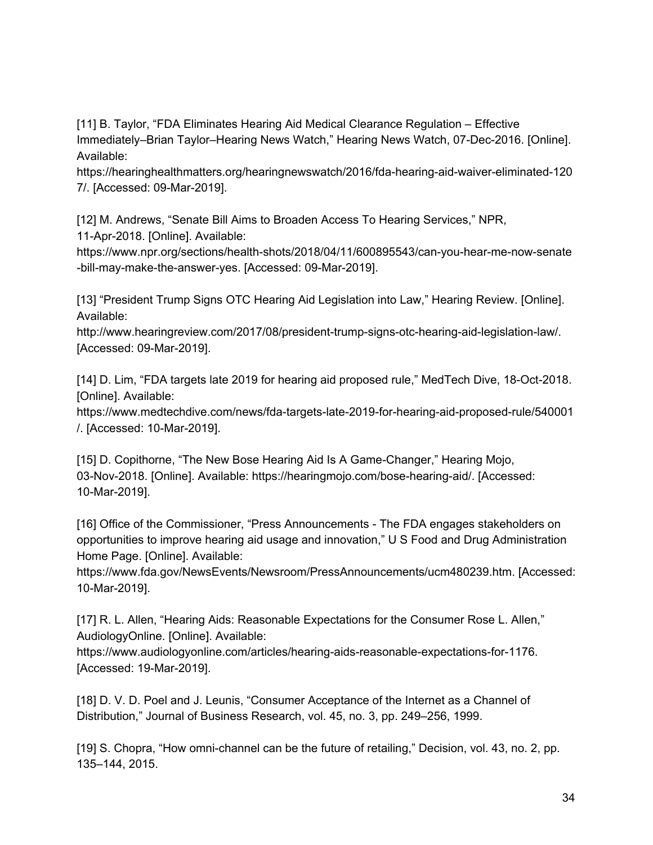[11] B. Taylor, "FDA Eliminates Hearing Aid Medical Clearance Regulation – Effective Immediately–Brian Taylor–Hearing News Watch," Hearing News Watch, 07-Dec-2016. [Online]. Available:

https://hearinghealthmatters.org/hearingnewswatch/2016/fda-hearing-aid-waiver-eliminated-120 7/. [Accessed: 09-Mar-2019].

[12] M. Andrews, "Senate Bill Aims to Broaden Access To Hearing Services," NPR, 11-Apr-2018. [Online]. Available:

https://www.npr.org/sections/health-shots/2018/04/11/600895543/can-you-hear-me-now-senate -bill-may-make-the-answer-yes. [Accessed: 09-Mar-2019].

[13] "President Trump Signs OTC Hearing Aid Legislation into Law," Hearing Review. [Online]. Available:

http://www.hearingreview.com/2017/08/president-trump-signs-otc-hearing-aid-legislation-law/. [Accessed: 09-Mar-2019].

[14] D. Lim, "FDA targets late 2019 for hearing aid proposed rule," MedTech Dive, 18-Oct-2018. [Online]. Available:

https://www.medtechdive.com/news/fda-targets-late-2019-for-hearing-aid-proposed-rule/540001 /. [Accessed: 10-Mar-2019].

[15] D. Copithorne, "The New Bose Hearing Aid Is A Game-Changer," Hearing Mojo, 03-Nov-2018. [Online]. Available: https://hearingmojo.com/bose-hearing-aid/. [Accessed: 10-Mar-2019].

[16] Office of the Commissioner, "Press Announcements - The FDA engages stakeholders on opportunities to improve hearing aid usage and innovation," U S Food and Drug Administration Home Page. [Online]. Available:

https://www.fda.gov/NewsEvents/Newsroom/PressAnnouncements/ucm480239.htm. [Accessed: 10-Mar-2019].

[17] R. L. Allen, "Hearing Aids: Reasonable Expectations for the Consumer Rose L. Allen," AudiologyOnline. [Online]. Available:

https://www.audiologyonline.com/articles/hearing-aids-reasonable-expectations-for-1176. [Accessed: 19-Mar-2019].

[18] D. V. D. Poel and J. Leunis, "Consumer Acceptance of the Internet as a Channel of Distribution," Journal of Business Research, vol. 45, no. 3, pp. 249–256, 1999.

[19] S. Chopra, "How omni-channel can be the future of retailing," Decision, vol. 43, no. 2, pp. 135–144, 2015.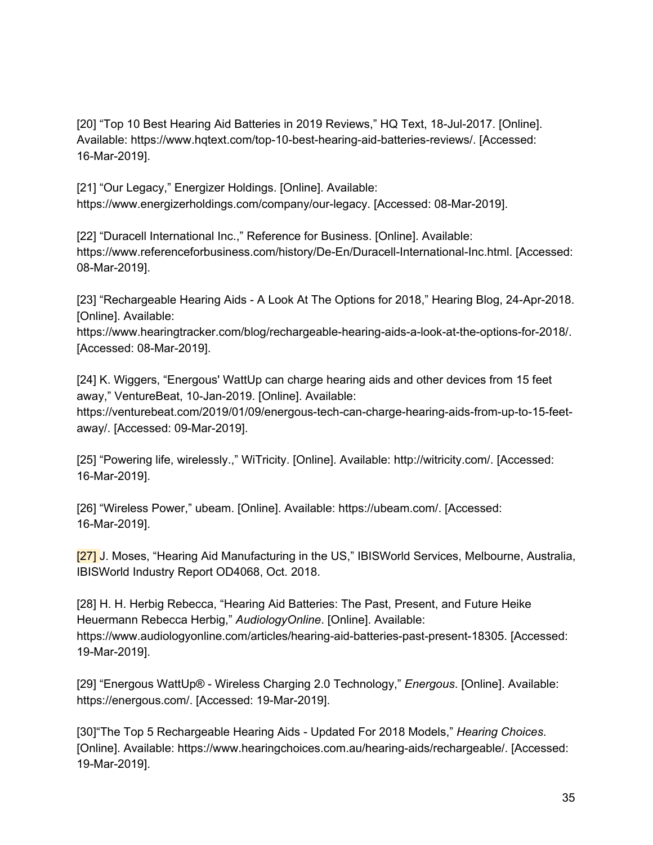[20] "Top 10 Best Hearing Aid Batteries in 2019 Reviews," HQ Text, 18-Jul-2017. [Online]. Available: https://www.hqtext.com/top-10-best-hearing-aid-batteries-reviews/. [Accessed: 16-Mar-2019].

[21] "Our Legacy," Energizer Holdings. [Online]. Available: https://www.energizerholdings.com/company/our-legacy. [Accessed: 08-Mar-2019].

[22] "Duracell International Inc.," Reference for Business. [Online]. Available: https://www.referenceforbusiness.com/history/De-En/Duracell-International-Inc.html. [Accessed: 08-Mar-2019].

[23] "Rechargeable Hearing Aids - A Look At The Options for 2018," Hearing Blog, 24-Apr-2018. [Online]. Available:

https://www.hearingtracker.com/blog/rechargeable-hearing-aids-a-look-at-the-options-for-2018/. [Accessed: 08-Mar-2019].

[24] K. Wiggers, "Energous' WattUp can charge hearing aids and other devices from 15 feet away," VentureBeat, 10-Jan-2019. [Online]. Available:

https://venturebeat.com/2019/01/09/energous-tech-can-charge-hearing-aids-from-up-to-15-feetaway/. [Accessed: 09-Mar-2019].

[25] "Powering life, wirelessly.," WiTricity. [Online]. Available: http://witricity.com/. [Accessed: 16-Mar-2019].

[26] "Wireless Power," ubeam. [Online]. Available: https://ubeam.com/. [Accessed: 16-Mar-2019].

[27] J. Moses, "Hearing Aid Manufacturing in the US," IBISWorld Services, Melbourne, Australia, IBISWorld Industry Report OD4068, Oct. 2018.

[28] H. H. Herbig Rebecca, "Hearing Aid Batteries: The Past, Present, and Future Heike Heuermann Rebecca Herbig," *AudiologyOnline*. [Online]. Available: https://www.audiologyonline.com/articles/hearing-aid-batteries-past-present-18305. [Accessed: 19-Mar-2019].

[29] "Energous WattUp® - Wireless Charging 2.0 Technology," *Energous*. [Online]. Available: https://energous.com/. [Accessed: 19-Mar-2019].

[30]"The Top 5 Rechargeable Hearing Aids - Updated For 2018 Models," *Hearing Choices*. [Online]. Available: https://www.hearingchoices.com.au/hearing-aids/rechargeable/. [Accessed: 19-Mar-2019].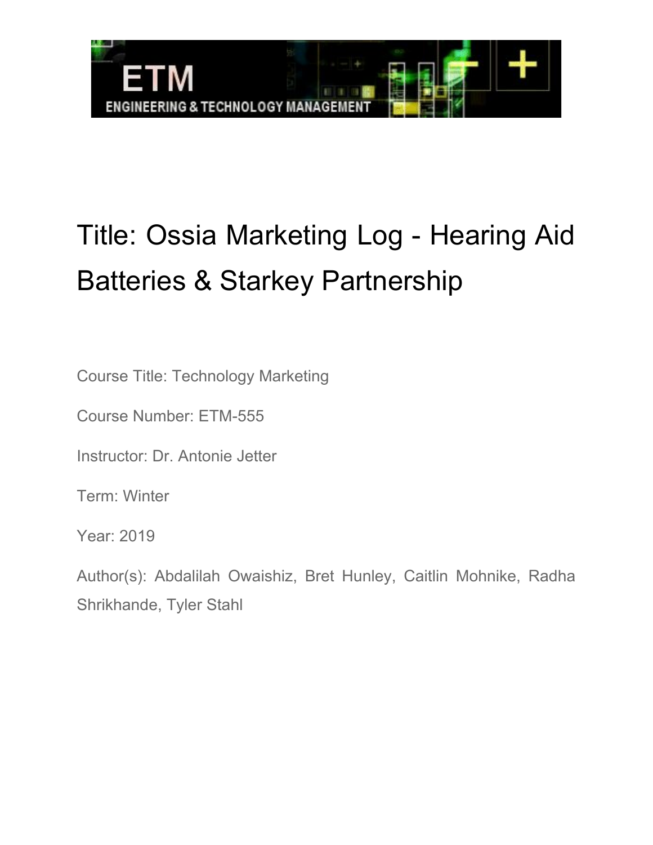

# Title: Ossia Marketing Log - Hearing Aid Batteries & Starkey Partnership

Course Title: Technology Marketing

Course Number: ETM-555

Instructor: Dr. Antonie Jetter

Term: Winter

Year: 2019

Author(s): Abdalilah Owaishiz, Bret Hunley, Caitlin Mohnike, Radha Shrikhande, Tyler Stahl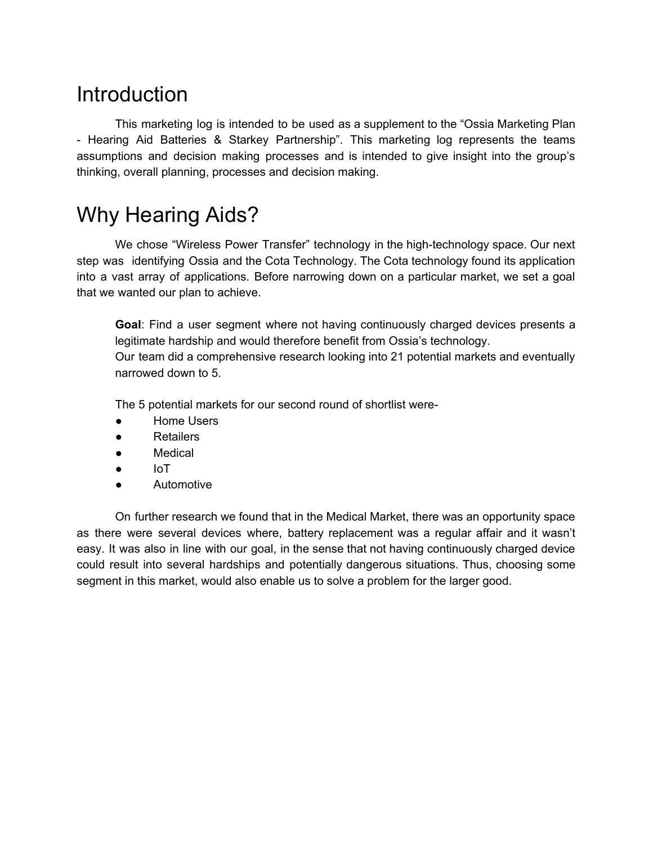## **Introduction**

This marketing log is intended to be used as a supplement to the "Ossia Marketing Plan - Hearing Aid Batteries & Starkey Partnership". This marketing log represents the teams assumptions and decision making processes and is intended to give insight into the group's thinking, overall planning, processes and decision making.

## Why Hearing Aids?

We chose "Wireless Power Transfer" technology in the high-technology space. Our next step was identifying Ossia and the Cota Technology. The Cota technology found its application into a vast array of applications. Before narrowing down on a particular market, we set a goal that we wanted our plan to achieve.

**Goal**: Find a user segment where not having continuously charged devices presents a legitimate hardship and would therefore benefit from Ossia's technology. Our team did a comprehensive research looking into 21 potential markets and eventually narrowed down to 5.

The 5 potential markets for our second round of shortlist were-

- **Home Users**
- Retailers
- Medical
- IoT
- **Automotive**

On further research we found that in the Medical Market, there was an opportunity space as there were several devices where, battery replacement was a regular affair and it wasn't easy. It was also in line with our goal, in the sense that not having continuously charged device could result into several hardships and potentially dangerous situations. Thus, choosing some segment in this market, would also enable us to solve a problem for the larger good.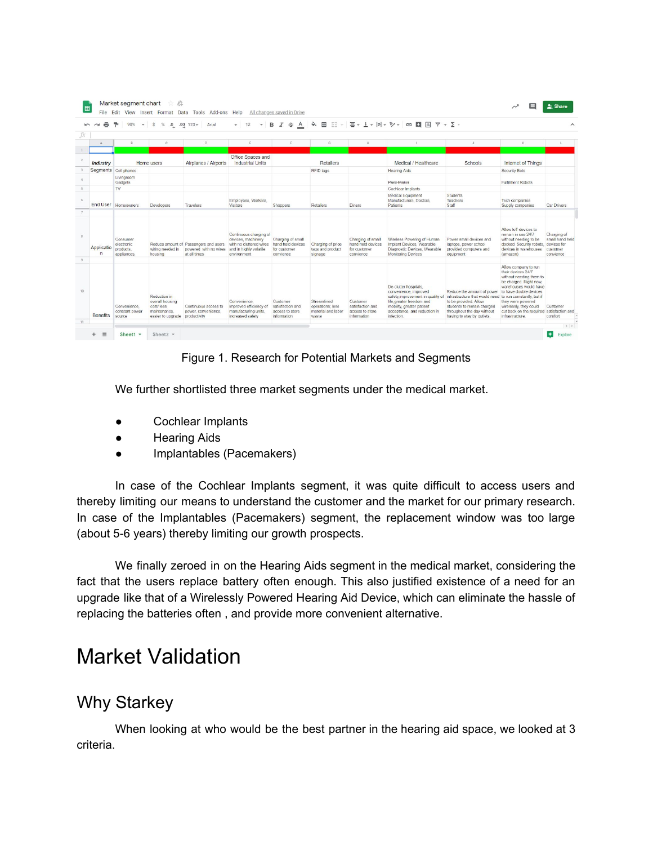|                            |                                                    | %                                                                                | $.0$ $.00$ $123 -$<br>Arial                                                    | 12<br>$\overline{\phantom{a}}$                                                                                   | A<br>I<br>음<br>в                                                    | è.                                                             |                                                                     | $\boxplus$ $\boxplus$ $\cdot$ $\parallel$ $\equiv$ $\cdot$ $\perp$ $\cdot$ $\parallel$ $\vee$ $\vee$ $\cdot$ $\parallel$ $\oplus$ $\parallel$ $\parallel$ $\parallel$ $\vee$ $\cdot$ $\searrow$ $\cdot$                                                   |                                                                                                                                                                      |                                                                                                                                                                                                                                         | $\wedge$                                                               |
|----------------------------|----------------------------------------------------|----------------------------------------------------------------------------------|--------------------------------------------------------------------------------|------------------------------------------------------------------------------------------------------------------|---------------------------------------------------------------------|----------------------------------------------------------------|---------------------------------------------------------------------|-----------------------------------------------------------------------------------------------------------------------------------------------------------------------------------------------------------------------------------------------------------|----------------------------------------------------------------------------------------------------------------------------------------------------------------------|-----------------------------------------------------------------------------------------------------------------------------------------------------------------------------------------------------------------------------------------|------------------------------------------------------------------------|
| Δ                          | $\overline{R}$                                     | $\mathbb{C}$                                                                     | D.                                                                             | E                                                                                                                |                                                                     | G                                                              | H.                                                                  |                                                                                                                                                                                                                                                           | $\cdot$                                                                                                                                                              | K.                                                                                                                                                                                                                                      |                                                                        |
|                            |                                                    |                                                                                  |                                                                                |                                                                                                                  |                                                                     |                                                                |                                                                     |                                                                                                                                                                                                                                                           |                                                                                                                                                                      |                                                                                                                                                                                                                                         |                                                                        |
| <b>Industry</b>            |                                                    | Home users                                                                       | Airplanes / Airports                                                           | Office Spaces and<br><b>Industrial Units</b>                                                                     |                                                                     | Retailers                                                      |                                                                     | Medical / Healthcare                                                                                                                                                                                                                                      | Schools                                                                                                                                                              | <b>Internet of Things</b>                                                                                                                                                                                                               |                                                                        |
| Segments Cell phones       |                                                    |                                                                                  |                                                                                |                                                                                                                  |                                                                     | RFID tags                                                      |                                                                     | <b>Hearing Aids</b>                                                                                                                                                                                                                                       |                                                                                                                                                                      | Security Bots                                                                                                                                                                                                                           |                                                                        |
|                            | Livingroom<br>Gadgets                              |                                                                                  |                                                                                |                                                                                                                  |                                                                     |                                                                |                                                                     | Pace Maker                                                                                                                                                                                                                                                |                                                                                                                                                                      | <b>Fulfilment Robots</b>                                                                                                                                                                                                                |                                                                        |
|                            | <b>TV</b>                                          |                                                                                  |                                                                                |                                                                                                                  |                                                                     |                                                                |                                                                     | Cochlear Implants                                                                                                                                                                                                                                         |                                                                                                                                                                      |                                                                                                                                                                                                                                         |                                                                        |
|                            | End User Homeowners                                | Developers                                                                       | <b>Travelers</b>                                                               | Employees, Workers,<br>Visitors                                                                                  | Shoppers                                                            | <b>Retailers</b>                                               | Diners                                                              | Medical Equipment<br>Manufacturers, Doctors,<br>Patients                                                                                                                                                                                                  | Students<br><b>Teachers</b><br>Staff                                                                                                                                 | Tech companies<br>Supply companies                                                                                                                                                                                                      | Car Drivers                                                            |
|                            |                                                    |                                                                                  |                                                                                |                                                                                                                  |                                                                     |                                                                |                                                                     |                                                                                                                                                                                                                                                           |                                                                                                                                                                      |                                                                                                                                                                                                                                         |                                                                        |
| Applicatio<br>$\mathbf{n}$ | Consumer<br>electronic<br>products.<br>appliances. | wiring needed in<br>housing                                                      | Reduce amount of Passengers and users<br>powered with no wires<br>at all times | Continuous charging of<br>devices, machinery<br>with no cluttered wires<br>and in highly volatile<br>environment | Charging of small<br>hand held devices<br>for customer<br>convience | Charging of price<br>tags and product<br>signage               | Charging of small<br>hand held devices<br>for customer<br>convience | Wireless Powering of Human<br>Implant Devices, Wearable<br>Diagnostic Devices, Wearable<br>Monitoring Devices                                                                                                                                             | Power small devices and<br>laptops, power school<br>provided computers and<br>equipment                                                                              | Allow IoT devices to<br>remain in use 24/7<br>without needing to be<br>docked. Security robots,<br>devices in warehouses<br>(amazon)                                                                                                    | Charging of<br>small hand held<br>devices for<br>customer<br>convience |
| <b>Benefits</b>            | Convenience.<br>constant power<br>source           | Reduction in<br>overall housing<br>cost/less<br>maintenance<br>easier to upgrade | Continuous access to<br>power, convenience,<br>productivity                    | Convenience.<br>improved efficiency of<br>manufacturing units.<br>increased safety                               | Customer<br>satisfaction and<br>access to store.<br>information     | Streamlined<br>operations: less<br>material and labor<br>waste | Customer<br>satisfaction and<br>access to store<br>information      | De-clutter hospitals,<br>convenience, improved<br>safety, improvement in quality of infrastructure that would need to run comstantly, but if<br>life greater freedom and<br>mobility, greater patient<br>acceptance, and reduction in<br><i>infection</i> | Reduce the amount of power to have double devices<br>to be provided. Allow<br>students to remain charged<br>throughout the day without<br>having to stay by outlets. | Allow company to run<br>their devices 24/7<br>without needing them to<br>be charged. Right now,<br>warehouses would have<br>they were powered<br>wirelessly, they could<br>cut back on the required satisfaction and<br>infrastructure. | Customer<br>comfort                                                    |

Figure 1. Research for Potential Markets and Segments

We further shortlisted three market segments under the medical market.

- Cochlear Implants
- Hearing Aids
- Implantables (Pacemakers)

In case of the Cochlear Implants segment, it was quite difficult to access users and thereby limiting our means to understand the customer and the market for our primary research. In case of the Implantables (Pacemakers) segment, the replacement window was too large (about 5-6 years) thereby limiting our growth prospects.

We finally zeroed in on the Hearing Aids segment in the medical market, considering the fact that the users replace battery often enough. This also justified existence of a need for an upgrade like that of a Wirelessly Powered Hearing Aid Device, which can eliminate the hassle of replacing the batteries often , and provide more convenient alternative.

## Market Validation

### Why Starkey

When looking at who would be the best partner in the hearing aid space, we looked at 3 criteria.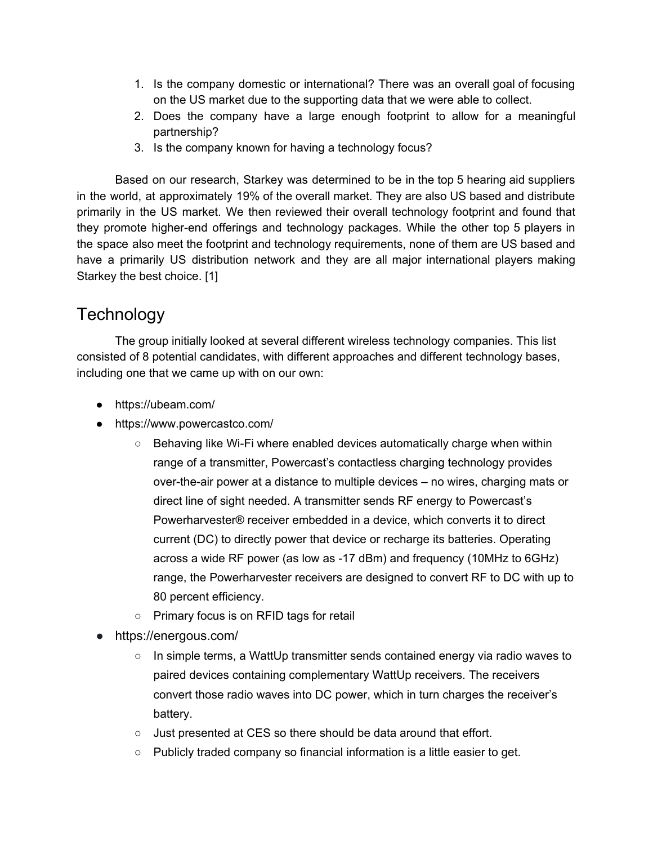- 1. Is the company domestic or international? There was an overall goal of focusing on the US market due to the supporting data that we were able to collect.
- 2. Does the company have a large enough footprint to allow for a meaningful partnership?
- 3. Is the company known for having a technology focus?

Based on our research, Starkey was determined to be in the top 5 hearing aid suppliers in the world, at approximately 19% of the overall market. They are also US based and distribute primarily in the US market. We then reviewed their overall technology footprint and found that they promote higher-end offerings and technology packages. While the other top 5 players in the space also meet the footprint and technology requirements, none of them are US based and have a primarily US distribution network and they are all major international players making Starkey the best choice. [1]

## **Technology**

The group initially looked at several different wireless technology companies. This list consisted of 8 potential candidates, with different approaches and different technology bases, including one that we came up with on our own:

- https://ubeam.com/
- https://www.powercastco.com/
	- Behaving like Wi-Fi where enabled devices automatically charge when within range of a transmitter, Powercast's contactless charging technology provides over-the-air power at a distance to multiple devices – no wires, charging mats or direct line of sight needed. A transmitter sends RF energy to Powercast's Powerharvester® receiver embedded in a device, which converts it to direct current (DC) to directly power that device or recharge its batteries. Operating across a wide RF power (as low as -17 dBm) and frequency (10MHz to 6GHz) range, the Powerharvester receivers are designed to convert RF to DC with up to 80 percent efficiency.
	- Primary focus is on RFID tags for retail
- https://energous.com/
	- $\circ$  In simple terms, a WattUp transmitter sends contained energy via radio waves to paired devices containing complementary WattUp receivers. The receivers convert those radio waves into DC power, which in turn charges the receiver's battery.
	- Just presented at CES so there should be data around that effort.
	- $\circ$  Publicly traded company so financial information is a little easier to get.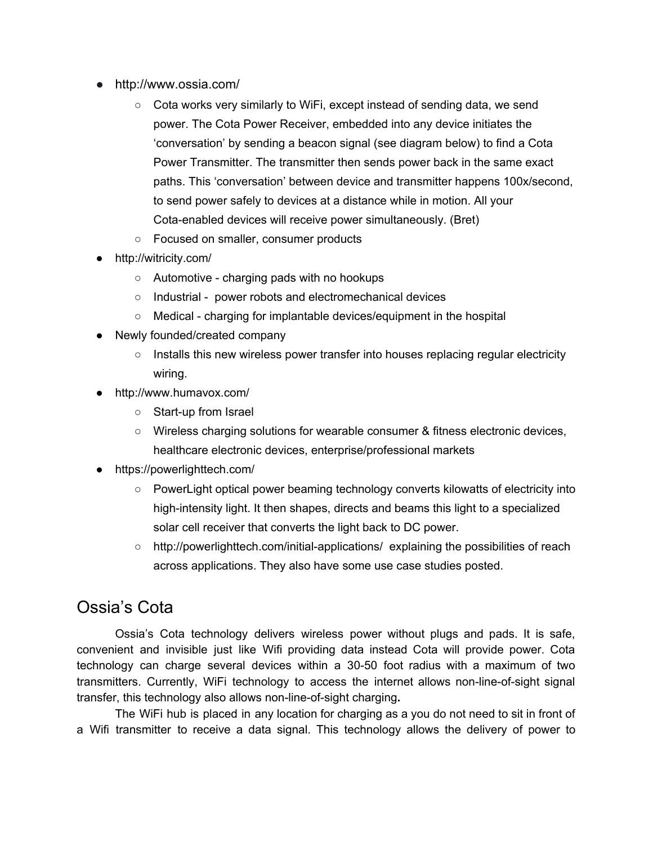- http://www.ossia.com/
	- Cota works very similarly to WiFi, except instead of sending data, we send power. The Cota Power Receiver, embedded into any device initiates the 'conversation' by sending a beacon signal (see diagram below) to find a Cota Power Transmitter. The transmitter then sends power back in the same exact paths. This 'conversation' between device and transmitter happens 100x/second, to send power safely to devices at a distance while in motion. All your Cota-enabled devices will receive power simultaneously. (Bret)
	- Focused on smaller, consumer products
- http://witricity.com/
	- Automotive charging pads with no hookups
	- Industrial power robots and electromechanical devices
	- Medical charging for implantable devices/equipment in the hospital
- Newly founded/created company
	- $\circ$  Installs this new wireless power transfer into houses replacing regular electricity wiring.
- http://www.humavox.com/
	- Start-up from Israel
	- Wireless charging solutions for wearable consumer & fitness electronic devices, healthcare electronic devices, enterprise/professional markets
- https://powerlighttech.com/
	- PowerLight optical power beaming technology converts kilowatts of electricity into high-intensity light. It then shapes, directs and beams this light to a specialized solar cell receiver that converts the light back to DC power.
	- http://powerlighttech.com/initial-applications/ explaining the possibilities of reach across applications. They also have some use case studies posted.

### Ossia's Cota

Ossia's Cota technology delivers wireless power without plugs and pads. It is safe, convenient and invisible just like Wifi providing data instead Cota will provide power. Cota technology can charge several devices within a 30-50 foot radius with a maximum of two transmitters. Currently, WiFi technology to access the internet allows non-line-of-sight signal transfer, this technology also allows non-line-of-sight charging**.**

The WiFi hub is placed in any location for charging as a you do not need to sit in front of a Wifi transmitter to receive a data signal. This technology allows the delivery of power to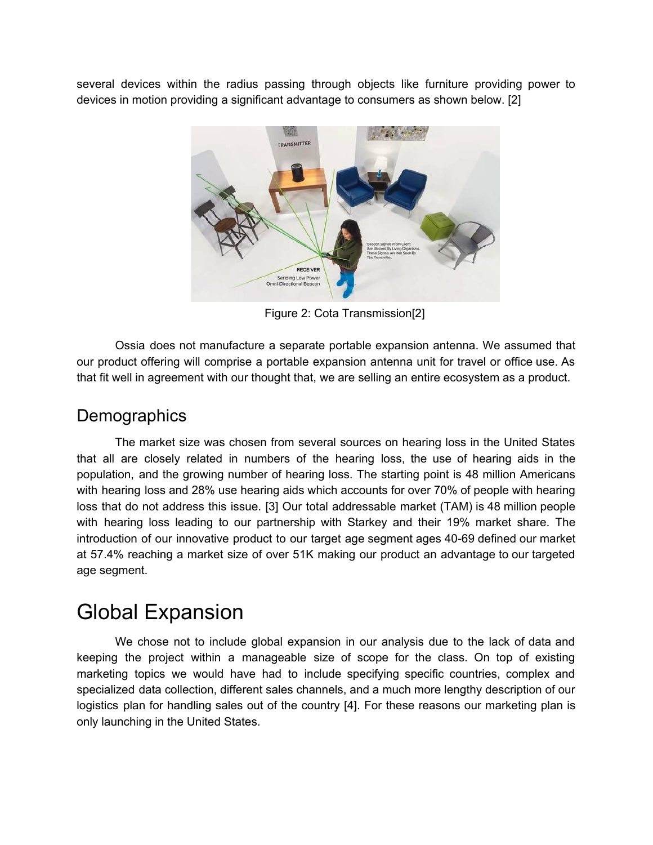several devices within the radius passing through objects like furniture providing power to devices in motion providing a significant advantage to consumers as shown below. [2]



Figure 2: Cota Transmission[2]

Ossia does not manufacture a separate portable expansion antenna. We assumed that our product offering will comprise a portable expansion antenna unit for travel or office use. As that fit well in agreement with our thought that, we are selling an entire ecosystem as a product.

### **Demographics**

The market size was chosen from several sources on hearing loss in the United States that all are closely related in numbers of the hearing loss, the use of hearing aids in the population, and the growing number of hearing loss. The starting point is 48 million Americans with hearing loss and 28% use hearing aids which accounts for over 70% of people with hearing loss that do not address this issue. [3] Our total addressable market (TAM) is 48 million people with hearing loss leading to our partnership with Starkey and their 19% market share. The introduction of our innovative product to our target age segment ages 40-69 defined our market at 57.4% reaching a market size of over 51K making our product an advantage to our targeted age segment.

## Global Expansion

We chose not to include global expansion in our analysis due to the lack of data and keeping the project within a manageable size of scope for the class. On top of existing marketing topics we would have had to include specifying specific countries, complex and specialized data collection, different sales channels, and a much more lengthy description of our logistics plan for handling sales out of the country [4]. For these reasons our marketing plan is only launching in the United States.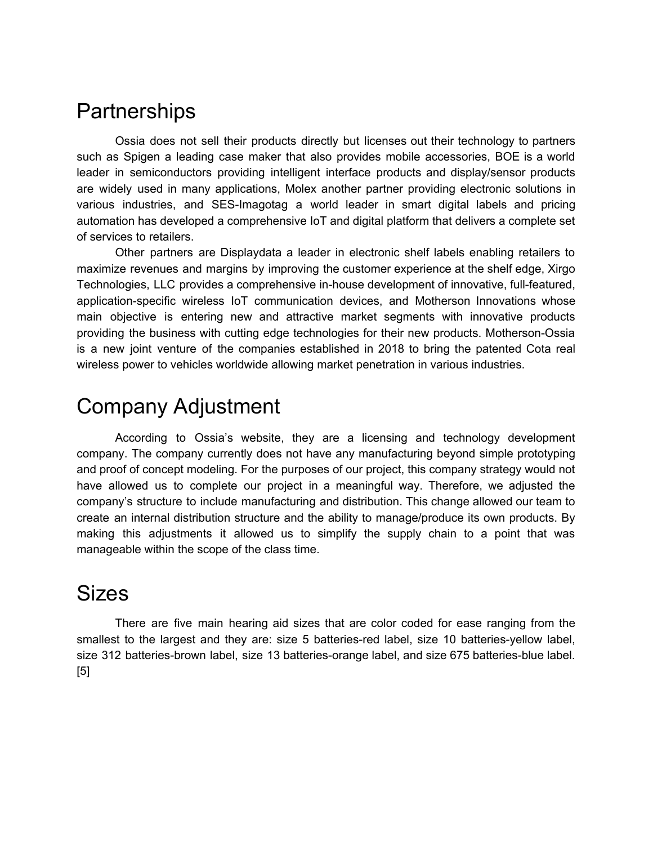## **Partnerships**

Ossia does not sell their products directly but licenses out their technology to partners such as Spigen a leading case maker that also provides mobile accessories, BOE is a world leader in semiconductors providing intelligent interface products and display/sensor products are widely used in many applications, Molex another partner providing electronic solutions in various industries, and SES-Imagotag a world leader in smart digital labels and pricing automation has developed a comprehensive IoT and digital platform that delivers a complete set of services to retailers.

Other partners are Displaydata a leader in electronic shelf labels enabling retailers to maximize revenues and margins by improving the customer experience at the shelf edge, Xirgo Technologies, LLC provides a comprehensive in-house development of innovative, full-featured, application-specific wireless IoT communication devices, and Motherson Innovations whose main objective is entering new and attractive market segments with innovative products providing the business with cutting edge technologies for their new products. Motherson-Ossia is a new joint venture of the companies established in 2018 to bring the patented Cota real wireless power to vehicles worldwide allowing market penetration in various industries.

## Company Adjustment

According to Ossia's website, they are a licensing and technology development company. The company currently does not have any manufacturing beyond simple prototyping and proof of concept modeling. For the purposes of our project, this company strategy would not have allowed us to complete our project in a meaningful way. Therefore, we adjusted the company's structure to include manufacturing and distribution. This change allowed our team to create an internal distribution structure and the ability to manage/produce its own products. By making this adjustments it allowed us to simplify the supply chain to a point that was manageable within the scope of the class time.

## Sizes

There are five main hearing aid sizes that are color coded for ease ranging from the smallest to the largest and they are: size 5 batteries-red label, size 10 batteries-yellow label, size 312 batteries-brown label, size 13 batteries-orange label, and size 675 batteries-blue label. [5]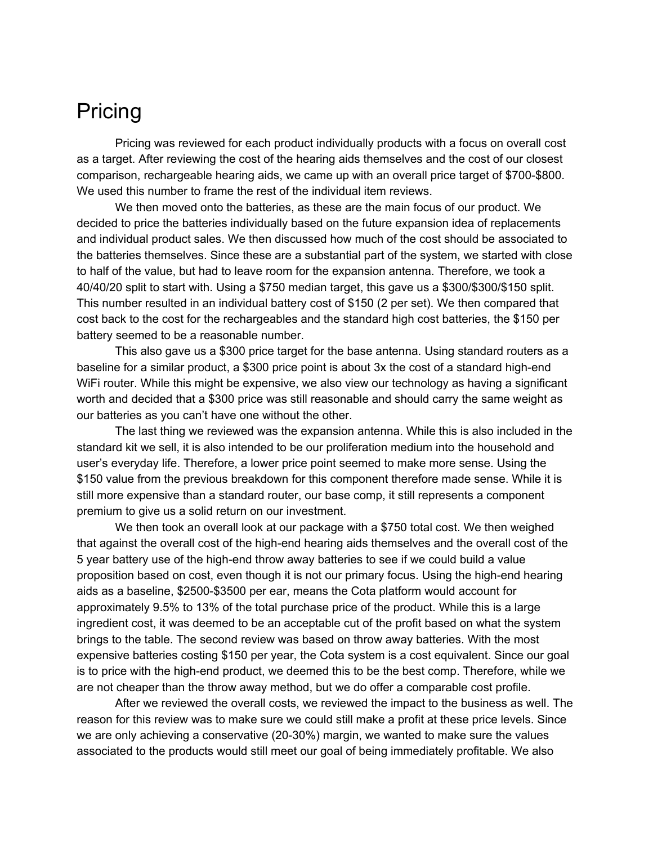## Pricing

Pricing was reviewed for each product individually products with a focus on overall cost as a target. After reviewing the cost of the hearing aids themselves and the cost of our closest comparison, rechargeable hearing aids, we came up with an overall price target of \$700-\$800. We used this number to frame the rest of the individual item reviews.

We then moved onto the batteries, as these are the main focus of our product. We decided to price the batteries individually based on the future expansion idea of replacements and individual product sales. We then discussed how much of the cost should be associated to the batteries themselves. Since these are a substantial part of the system, we started with close to half of the value, but had to leave room for the expansion antenna. Therefore, we took a 40/40/20 split to start with. Using a \$750 median target, this gave us a \$300/\$300/\$150 split. This number resulted in an individual battery cost of \$150 (2 per set). We then compared that cost back to the cost for the rechargeables and the standard high cost batteries, the \$150 per battery seemed to be a reasonable number.

This also gave us a \$300 price target for the base antenna. Using standard routers as a baseline for a similar product, a \$300 price point is about 3x the cost of a standard high-end WiFi router. While this might be expensive, we also view our technology as having a significant worth and decided that a \$300 price was still reasonable and should carry the same weight as our batteries as you can't have one without the other.

The last thing we reviewed was the expansion antenna. While this is also included in the standard kit we sell, it is also intended to be our proliferation medium into the household and user's everyday life. Therefore, a lower price point seemed to make more sense. Using the \$150 value from the previous breakdown for this component therefore made sense. While it is still more expensive than a standard router, our base comp, it still represents a component premium to give us a solid return on our investment.

We then took an overall look at our package with a \$750 total cost. We then weighed that against the overall cost of the high-end hearing aids themselves and the overall cost of the 5 year battery use of the high-end throw away batteries to see if we could build a value proposition based on cost, even though it is not our primary focus. Using the high-end hearing aids as a baseline, \$2500-\$3500 per ear, means the Cota platform would account for approximately 9.5% to 13% of the total purchase price of the product. While this is a large ingredient cost, it was deemed to be an acceptable cut of the profit based on what the system brings to the table. The second review was based on throw away batteries. With the most expensive batteries costing \$150 per year, the Cota system is a cost equivalent. Since our goal is to price with the high-end product, we deemed this to be the best comp. Therefore, while we are not cheaper than the throw away method, but we do offer a comparable cost profile.

After we reviewed the overall costs, we reviewed the impact to the business as well. The reason for this review was to make sure we could still make a profit at these price levels. Since we are only achieving a conservative (20-30%) margin, we wanted to make sure the values associated to the products would still meet our goal of being immediately profitable. We also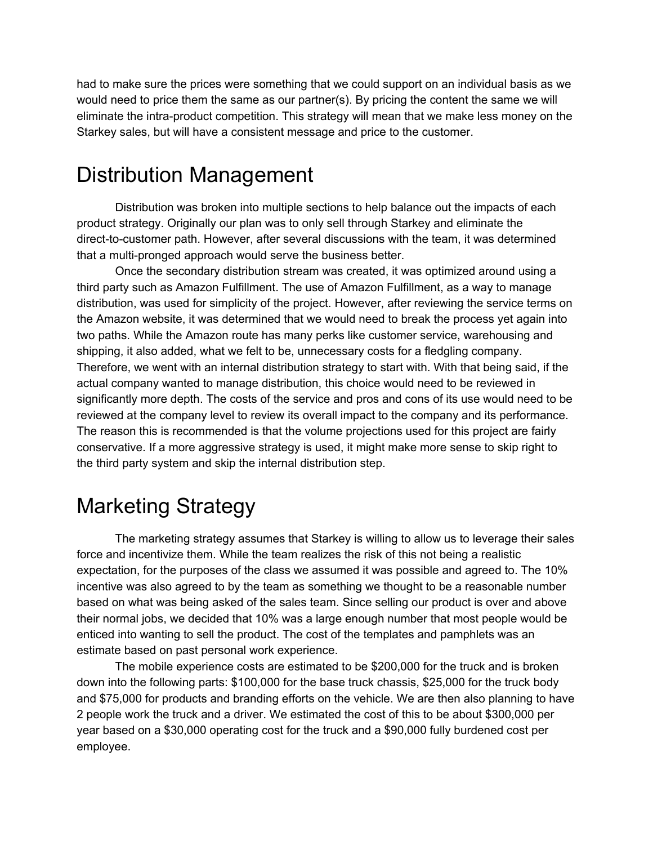had to make sure the prices were something that we could support on an individual basis as we would need to price them the same as our partner(s). By pricing the content the same we will eliminate the intra-product competition. This strategy will mean that we make less money on the Starkey sales, but will have a consistent message and price to the customer.

## Distribution Management

Distribution was broken into multiple sections to help balance out the impacts of each product strategy. Originally our plan was to only sell through Starkey and eliminate the direct-to-customer path. However, after several discussions with the team, it was determined that a multi-pronged approach would serve the business better.

Once the secondary distribution stream was created, it was optimized around using a third party such as Amazon Fulfillment. The use of Amazon Fulfillment, as a way to manage distribution, was used for simplicity of the project. However, after reviewing the service terms on the Amazon website, it was determined that we would need to break the process yet again into two paths. While the Amazon route has many perks like customer service, warehousing and shipping, it also added, what we felt to be, unnecessary costs for a fledgling company. Therefore, we went with an internal distribution strategy to start with. With that being said, if the actual company wanted to manage distribution, this choice would need to be reviewed in significantly more depth. The costs of the service and pros and cons of its use would need to be reviewed at the company level to review its overall impact to the company and its performance. The reason this is recommended is that the volume projections used for this project are fairly conservative. If a more aggressive strategy is used, it might make more sense to skip right to the third party system and skip the internal distribution step.

## Marketing Strategy

The marketing strategy assumes that Starkey is willing to allow us to leverage their sales force and incentivize them. While the team realizes the risk of this not being a realistic expectation, for the purposes of the class we assumed it was possible and agreed to. The 10% incentive was also agreed to by the team as something we thought to be a reasonable number based on what was being asked of the sales team. Since selling our product is over and above their normal jobs, we decided that 10% was a large enough number that most people would be enticed into wanting to sell the product. The cost of the templates and pamphlets was an estimate based on past personal work experience.

The mobile experience costs are estimated to be \$200,000 for the truck and is broken down into the following parts: \$100,000 for the base truck chassis, \$25,000 for the truck body and \$75,000 for products and branding efforts on the vehicle. We are then also planning to have 2 people work the truck and a driver. We estimated the cost of this to be about \$300,000 per year based on a \$30,000 operating cost for the truck and a \$90,000 fully burdened cost per employee.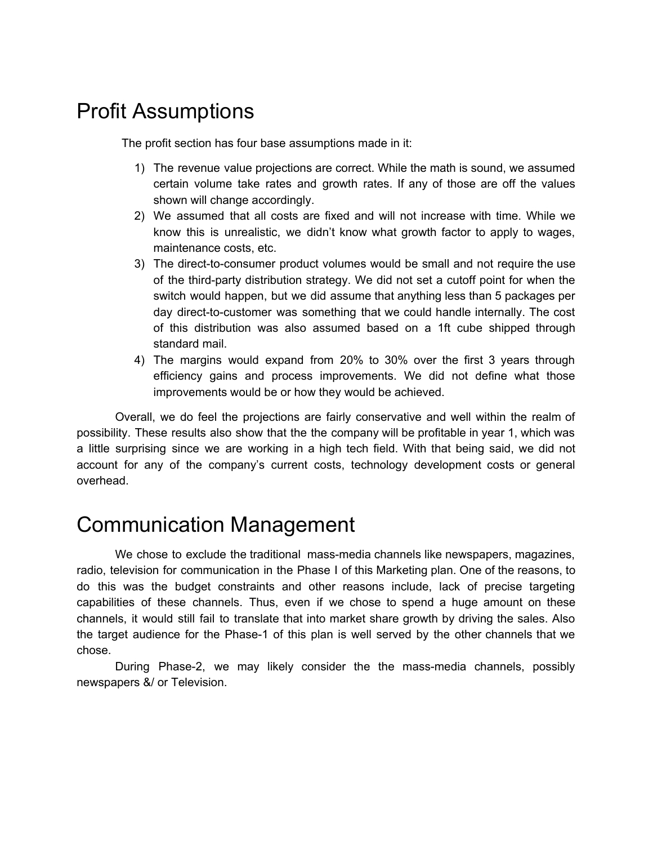## Profit Assumptions

The profit section has four base assumptions made in it:

- 1) The revenue value projections are correct. While the math is sound, we assumed certain volume take rates and growth rates. If any of those are off the values shown will change accordingly.
- 2) We assumed that all costs are fixed and will not increase with time. While we know this is unrealistic, we didn't know what growth factor to apply to wages, maintenance costs, etc.
- 3) The direct-to-consumer product volumes would be small and not require the use of the third-party distribution strategy. We did not set a cutoff point for when the switch would happen, but we did assume that anything less than 5 packages per day direct-to-customer was something that we could handle internally. The cost of this distribution was also assumed based on a 1ft cube shipped through standard mail.
- 4) The margins would expand from 20% to 30% over the first 3 years through efficiency gains and process improvements. We did not define what those improvements would be or how they would be achieved.

Overall, we do feel the projections are fairly conservative and well within the realm of possibility. These results also show that the the company will be profitable in year 1, which was a little surprising since we are working in a high tech field. With that being said, we did not account for any of the company's current costs, technology development costs or general overhead.

## Communication Management

We chose to exclude the traditional mass-media channels like newspapers, magazines, radio, television for communication in the Phase I of this Marketing plan. One of the reasons, to do this was the budget constraints and other reasons include, lack of precise targeting capabilities of these channels. Thus, even if we chose to spend a huge amount on these channels, it would still fail to translate that into market share growth by driving the sales. Also the target audience for the Phase-1 of this plan is well served by the other channels that we chose.

During Phase-2, we may likely consider the the mass-media channels, possibly newspapers &/ or Television.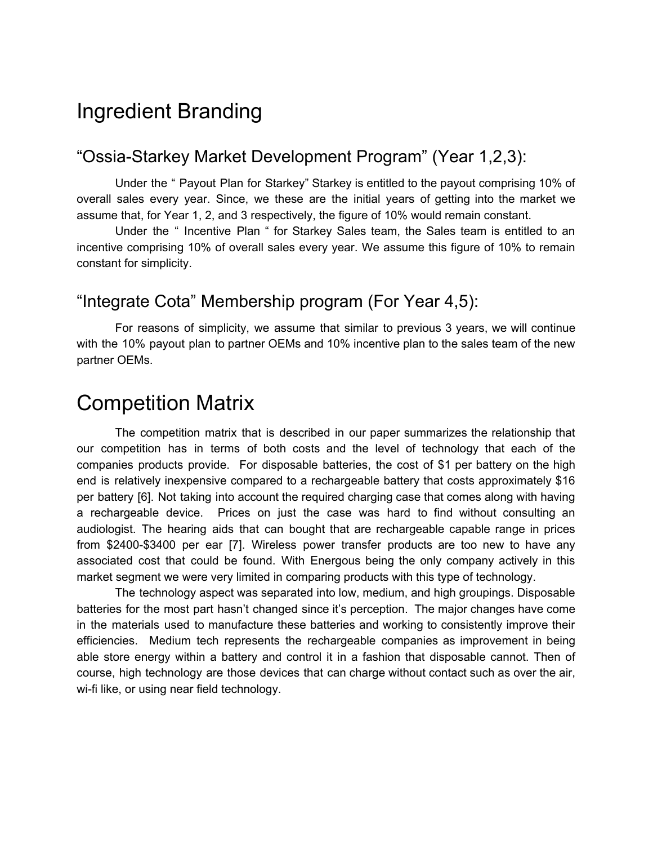## Ingredient Branding

### "Ossia-Starkey Market Development Program" (Year 1,2,3):

Under the " Payout Plan for Starkey" Starkey is entitled to the payout comprising 10% of overall sales every year. Since, we these are the initial years of getting into the market we assume that, for Year 1, 2, and 3 respectively, the figure of 10% would remain constant.

Under the " Incentive Plan " for Starkey Sales team, the Sales team is entitled to an incentive comprising 10% of overall sales every year. We assume this figure of 10% to remain constant for simplicity.

### "Integrate Cota" Membership program (For Year 4,5):

For reasons of simplicity, we assume that similar to previous 3 years, we will continue with the 10% payout plan to partner OEMs and 10% incentive plan to the sales team of the new partner OEMs.

## Competition Matrix

The competition matrix that is described in our paper summarizes the relationship that our competition has in terms of both costs and the level of technology that each of the companies products provide. For disposable batteries, the cost of \$1 per battery on the high end is relatively inexpensive compared to a rechargeable battery that costs approximately \$16 per battery [6]. Not taking into account the required charging case that comes along with having a rechargeable device. Prices on just the case was hard to find without consulting an audiologist. The hearing aids that can bought that are rechargeable capable range in prices from \$2400-\$3400 per ear [7]. Wireless power transfer products are too new to have any associated cost that could be found. With Energous being the only company actively in this market segment we were very limited in comparing products with this type of technology.

The technology aspect was separated into low, medium, and high groupings. Disposable batteries for the most part hasn't changed since it's perception. The major changes have come in the materials used to manufacture these batteries and working to consistently improve their efficiencies. Medium tech represents the rechargeable companies as improvement in being able store energy within a battery and control it in a fashion that disposable cannot. Then of course, high technology are those devices that can charge without contact such as over the air, wi-fi like, or using near field technology.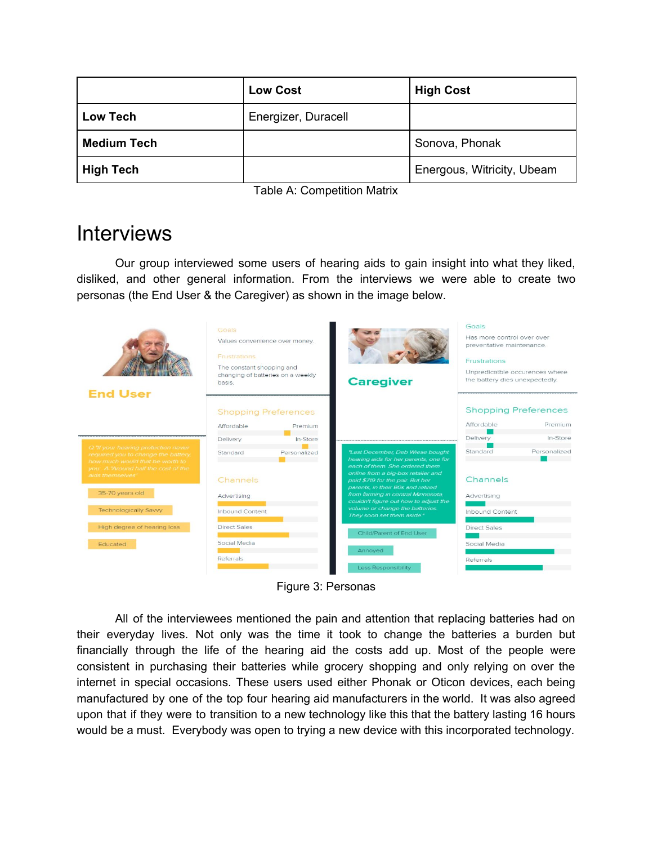|                    | <b>Low Cost</b>     | <b>High Cost</b>           |
|--------------------|---------------------|----------------------------|
| Low Tech           | Energizer, Duracell |                            |
| <b>Medium Tech</b> |                     | Sonova, Phonak             |
| <b>High Tech</b>   |                     | Energous, Witricity, Ubeam |

Table A: Competition Matrix

## **Interviews**

Our group interviewed some users of hearing aids to gain insight into what they liked, disliked, and other general information. From the interviews we were able to create two personas (the End User & the Caregiver) as shown in the image below.

| <b>End User</b>                                                                                                                                      | Goals<br>Values convenience over money.<br>Frustrations<br>The constant shopping and<br>basis. | changing of batteries on a weekly      | <b>Caregiver</b>                                                                                                                                  | Goals<br>Has more control over over<br>preventative maintenance.<br><b>Frustrations</b><br>Unpredicatble occurences where<br>the battery dies unexpectedly. |                                        |
|------------------------------------------------------------------------------------------------------------------------------------------------------|------------------------------------------------------------------------------------------------|----------------------------------------|---------------------------------------------------------------------------------------------------------------------------------------------------|-------------------------------------------------------------------------------------------------------------------------------------------------------------|----------------------------------------|
|                                                                                                                                                      | Affordable                                                                                     | <b>Shopping Preferences</b><br>Premium |                                                                                                                                                   | Affordable                                                                                                                                                  | <b>Shopping Preferences</b><br>Premium |
|                                                                                                                                                      | Delivery                                                                                       | In-Store                               |                                                                                                                                                   | Delivery                                                                                                                                                    | In-Store                               |
| Q "If your hearing protection never<br>required you to change the battery.<br>how much would that be worth to<br>you. A "Around half the cost of the | Standard                                                                                       | Personalized                           | "Last December, Deb Wiese bought<br>hearing aids for her parents, one for<br>each of them. She ordered them<br>online from a big-box retailer and | Standard                                                                                                                                                    | Personalized                           |
| aids themselves                                                                                                                                      | Channels                                                                                       |                                        | paid \$719 for the pair. But her                                                                                                                  | Channels                                                                                                                                                    |                                        |
| 35-70 years old                                                                                                                                      | Advertising                                                                                    |                                        | parents, in their 80s and retired<br>from farming in central Minnesota,<br>couldn't figure out how to adjust the                                  | Advertising                                                                                                                                                 |                                        |
| <b>Technologically Savvy</b>                                                                                                                         | <b>Inbound Content</b>                                                                         |                                        | volume or change the batteries.<br>They soon set them aside"                                                                                      | <b>Inbound Content</b>                                                                                                                                      |                                        |
| High degree of hearing loss                                                                                                                          | <b>Direct Sales</b>                                                                            |                                        | Child/Parent of End User                                                                                                                          | <b>Direct Sales</b>                                                                                                                                         |                                        |
| Educated                                                                                                                                             | Social Media                                                                                   |                                        | Annoved                                                                                                                                           | Social Media                                                                                                                                                |                                        |
|                                                                                                                                                      | Referrals                                                                                      |                                        | <b>Less Responsibility</b>                                                                                                                        | Referrals                                                                                                                                                   |                                        |

Figure 3: Personas

All of the interviewees mentioned the pain and attention that replacing batteries had on their everyday lives. Not only was the time it took to change the batteries a burden but financially through the life of the hearing aid the costs add up. Most of the people were consistent in purchasing their batteries while grocery shopping and only relying on over the internet in special occasions. These users used either Phonak or Oticon devices, each being manufactured by one of the top four hearing aid manufacturers in the world. It was also agreed upon that if they were to transition to a new technology like this that the battery lasting 16 hours would be a must. Everybody was open to trying a new device with this incorporated technology.